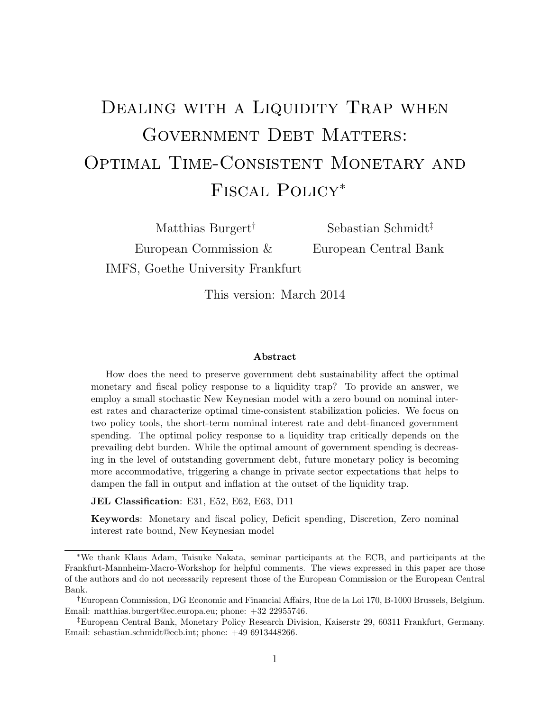# DEALING WITH A LIQUIDITY TRAP WHEN GOVERNMENT DEBT MATTERS: OPTIMAL TIME-CONSISTENT MONETARY AND Fiscal Policy*<sup>∗</sup>*

European Commission & European Central Bank IMFS, Goethe University Frankfurt

Matthias Burgert*†* Sebastian Schmidt*‡*

This version: March 2014

#### **Abstract**

How does the need to preserve government debt sustainability affect the optimal monetary and fiscal policy response to a liquidity trap? To provide an answer, we employ a small stochastic New Keynesian model with a zero bound on nominal interest rates and characterize optimal time-consistent stabilization policies. We focus on two policy tools, the short-term nominal interest rate and debt-financed government spending. The optimal policy response to a liquidity trap critically depends on the prevailing debt burden. While the optimal amount of government spending is decreasing in the level of outstanding government debt, future monetary policy is becoming more accommodative, triggering a change in private sector expectations that helps to dampen the fall in output and inflation at the outset of the liquidity trap.

**JEL Classification**: E31, E52, E62, E63, D11

**Keywords**: Monetary and fiscal policy, Deficit spending, Discretion, Zero nominal interest rate bound, New Keynesian model

*<sup>∗</sup>*We thank Klaus Adam, Taisuke Nakata, seminar participants at the ECB, and participants at the Frankfurt-Mannheim-Macro-Workshop for helpful comments. The views expressed in this paper are those of the authors and do not necessarily represent those of the European Commission or the European Central Bank.

*<sup>†</sup>*European Commission, DG Economic and Financial Affairs, Rue de la Loi 170, B-1000 Brussels, Belgium. Email: matthias.burgert@ec.europa.eu; phone: +32 22955746.

*<sup>‡</sup>*European Central Bank, Monetary Policy Research Division, Kaiserstr 29, 60311 Frankfurt, Germany. Email: sebastian.schmidt@ecb.int; phone: +49 6913448266.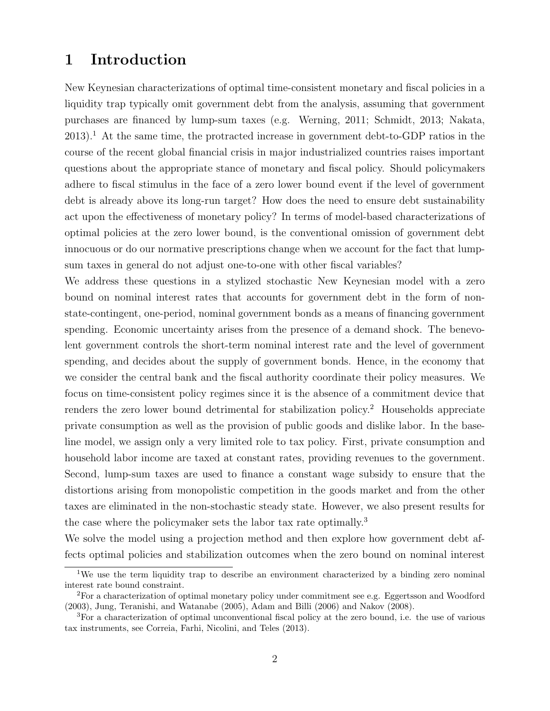### **1 Introduction**

New Keynesian characterizations of optimal time-consistent monetary and fiscal policies in a liquidity trap typically omit government debt from the analysis, assuming that government purchases are financed by lump-sum taxes (e.g. Werning, 2011; Schmidt, 2013; Nakata,  $2013$ ).<sup>1</sup> At the same time, the protracted increase in government debt-to-GDP ratios in the course of the recent global financial crisis in major industrialized countries raises important questions about the appropriate stance of monetary and fiscal policy. Should policymakers adhere to fiscal stimulus in the face of a zero lower bound event if the level of government debt is already above its long-run target? How does the need to ensure debt sustainability act upon the effectiveness of monetary policy? In terms of model-based characterizations of optimal policies at the zero lower bound, is the conventional omission of government debt innocuous or do our normative prescriptions change when we account for the fact that lumpsum taxes in general do not adjust one-to-one with other fiscal variables?

We address these questions in a stylized stochastic New Keynesian model with a zero bound on nominal interest rates that accounts for government debt in the form of nonstate-contingent, one-period, nominal government bonds as a means of financing government spending. Economic uncertainty arises from the presence of a demand shock. The benevolent government controls the short-term nominal interest rate and the level of government spending, and decides about the supply of government bonds. Hence, in the economy that we consider the central bank and the fiscal authority coordinate their policy measures. We focus on time-consistent policy regimes since it is the absence of a commitment device that renders the zero lower bound detrimental for stabilization policy.<sup>2</sup> Households appreciate private consumption as well as the provision of public goods and dislike labor. In the baseline model, we assign only a very limited role to tax policy. First, private consumption and household labor income are taxed at constant rates, providing revenues to the government. Second, lump-sum taxes are used to finance a constant wage subsidy to ensure that the distortions arising from monopolistic competition in the goods market and from the other taxes are eliminated in the non-stochastic steady state. However, we also present results for the case where the policymaker sets the labor tax rate optimally.<sup>3</sup>

We solve the model using a projection method and then explore how government debt affects optimal policies and stabilization outcomes when the zero bound on nominal interest

<sup>&</sup>lt;sup>1</sup>We use the term liquidity trap to describe an environment characterized by a binding zero nominal interest rate bound constraint.

<sup>2</sup>For a characterization of optimal monetary policy under commitment see e.g. Eggertsson and Woodford (2003), Jung, Teranishi, and Watanabe (2005), Adam and Billi (2006) and Nakov (2008).

<sup>3</sup>For a characterization of optimal unconventional fiscal policy at the zero bound, i.e. the use of various tax instruments, see Correia, Farhi, Nicolini, and Teles (2013).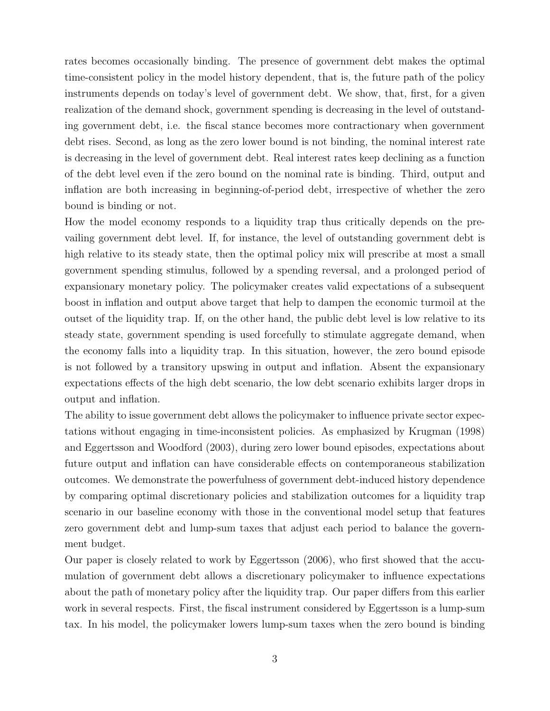rates becomes occasionally binding. The presence of government debt makes the optimal time-consistent policy in the model history dependent, that is, the future path of the policy instruments depends on today's level of government debt. We show, that, first, for a given realization of the demand shock, government spending is decreasing in the level of outstanding government debt, i.e. the fiscal stance becomes more contractionary when government debt rises. Second, as long as the zero lower bound is not binding, the nominal interest rate is decreasing in the level of government debt. Real interest rates keep declining as a function of the debt level even if the zero bound on the nominal rate is binding. Third, output and inflation are both increasing in beginning-of-period debt, irrespective of whether the zero bound is binding or not.

How the model economy responds to a liquidity trap thus critically depends on the prevailing government debt level. If, for instance, the level of outstanding government debt is high relative to its steady state, then the optimal policy mix will prescribe at most a small government spending stimulus, followed by a spending reversal, and a prolonged period of expansionary monetary policy. The policymaker creates valid expectations of a subsequent boost in inflation and output above target that help to dampen the economic turmoil at the outset of the liquidity trap. If, on the other hand, the public debt level is low relative to its steady state, government spending is used forcefully to stimulate aggregate demand, when the economy falls into a liquidity trap. In this situation, however, the zero bound episode is not followed by a transitory upswing in output and inflation. Absent the expansionary expectations effects of the high debt scenario, the low debt scenario exhibits larger drops in output and inflation.

The ability to issue government debt allows the policymaker to influence private sector expectations without engaging in time-inconsistent policies. As emphasized by Krugman (1998) and Eggertsson and Woodford (2003), during zero lower bound episodes, expectations about future output and inflation can have considerable effects on contemporaneous stabilization outcomes. We demonstrate the powerfulness of government debt-induced history dependence by comparing optimal discretionary policies and stabilization outcomes for a liquidity trap scenario in our baseline economy with those in the conventional model setup that features zero government debt and lump-sum taxes that adjust each period to balance the government budget.

Our paper is closely related to work by Eggertsson (2006), who first showed that the accumulation of government debt allows a discretionary policymaker to influence expectations about the path of monetary policy after the liquidity trap. Our paper differs from this earlier work in several respects. First, the fiscal instrument considered by Eggertsson is a lump-sum tax. In his model, the policymaker lowers lump-sum taxes when the zero bound is binding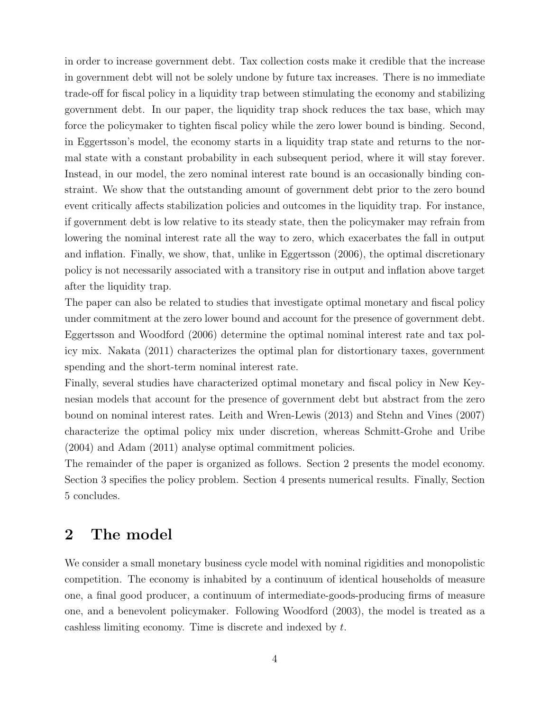in order to increase government debt. Tax collection costs make it credible that the increase in government debt will not be solely undone by future tax increases. There is no immediate trade-off for fiscal policy in a liquidity trap between stimulating the economy and stabilizing government debt. In our paper, the liquidity trap shock reduces the tax base, which may force the policymaker to tighten fiscal policy while the zero lower bound is binding. Second, in Eggertsson's model, the economy starts in a liquidity trap state and returns to the normal state with a constant probability in each subsequent period, where it will stay forever. Instead, in our model, the zero nominal interest rate bound is an occasionally binding constraint. We show that the outstanding amount of government debt prior to the zero bound event critically affects stabilization policies and outcomes in the liquidity trap. For instance, if government debt is low relative to its steady state, then the policymaker may refrain from lowering the nominal interest rate all the way to zero, which exacerbates the fall in output and inflation. Finally, we show, that, unlike in Eggertsson (2006), the optimal discretionary policy is not necessarily associated with a transitory rise in output and inflation above target after the liquidity trap.

The paper can also be related to studies that investigate optimal monetary and fiscal policy under commitment at the zero lower bound and account for the presence of government debt. Eggertsson and Woodford (2006) determine the optimal nominal interest rate and tax policy mix. Nakata (2011) characterizes the optimal plan for distortionary taxes, government spending and the short-term nominal interest rate.

Finally, several studies have characterized optimal monetary and fiscal policy in New Keynesian models that account for the presence of government debt but abstract from the zero bound on nominal interest rates. Leith and Wren-Lewis (2013) and Stehn and Vines (2007) characterize the optimal policy mix under discretion, whereas Schmitt-Grohe and Uribe (2004) and Adam (2011) analyse optimal commitment policies.

The remainder of the paper is organized as follows. Section 2 presents the model economy. Section 3 specifies the policy problem. Section 4 presents numerical results. Finally, Section 5 concludes.

## **2 The model**

We consider a small monetary business cycle model with nominal rigidities and monopolistic competition. The economy is inhabited by a continuum of identical households of measure one, a final good producer, a continuum of intermediate-goods-producing firms of measure one, and a benevolent policymaker. Following Woodford (2003), the model is treated as a cashless limiting economy. Time is discrete and indexed by *t*.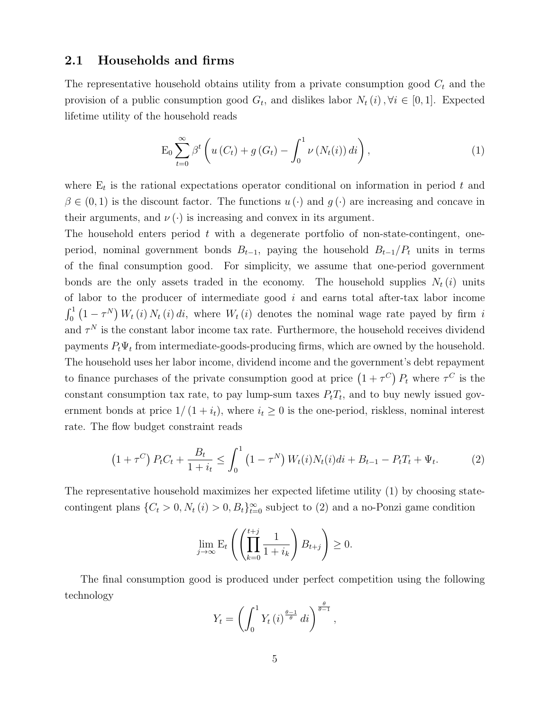#### **2.1 Households and firms**

The representative household obtains utility from a private consumption good *C<sup>t</sup>* and the provision of a public consumption good  $G_t$ , and dislikes labor  $N_t(i)$ ,  $\forall i \in [0,1]$ . Expected lifetime utility of the household reads

$$
\mathcal{E}_0 \sum_{t=0}^{\infty} \beta^t \left( u(C_t) + g(G_t) - \int_0^1 \nu(N_t(i)) \, di \right),\tag{1}
$$

where  $E_t$  is the rational expectations operator conditional on information in period  $t$  and  $\beta \in (0,1)$  is the discount factor. The functions  $u(\cdot)$  and  $g(\cdot)$  are increasing and concave in their arguments, and  $\nu(\cdot)$  is increasing and convex in its argument.

The household enters period *t* with a degenerate portfolio of non-state-contingent, oneperiod, nominal government bonds  $B_{t-1}$ , paying the household  $B_{t-1}/P_t$  units in terms of the final consumption good. For simplicity, we assume that one-period government bonds are the only assets traded in the economy. The household supplies  $N_t(i)$  units of labor to the producer of intermediate good *i* and earns total after-tax labor income  $\int_0^1 (1 - \tau^N) W_t(i) N_t(i) di$ , where  $W_t(i)$  denotes the nominal wage rate payed by firm *i* and  $\tau^N$  is the constant labor income tax rate. Furthermore, the household receives dividend payments  $P_t\Psi_t$  from intermediate-goods-producing firms, which are owned by the household. The household uses her labor income, dividend income and the government's debt repayment to finance purchases of the private consumption good at price  $(1 + \tau^C) P_t$  where  $\tau^C$  is the constant consumption tax rate, to pay lump-sum taxes  $P_tT_t$ , and to buy newly issued government bonds at price  $1/(1 + i_t)$ , where  $i_t \geq 0$  is the one-period, riskless, nominal interest rate. The flow budget constraint reads

$$
(1 + \tau^C) P_t C_t + \frac{B_t}{1 + i_t} \le \int_0^1 (1 - \tau^N) W_t(i) N_t(i) di + B_{t-1} - P_t T_t + \Psi_t.
$$
 (2)

The representative household maximizes her expected lifetime utility (1) by choosing statecontingent plans  $\{C_t > 0, N_t(i) > 0, B_t\}_{t=0}^{\infty}$  subject to (2) and a no-Ponzi game condition

$$
\lim_{j \to \infty} \mathcal{E}_t \left( \left( \prod_{k=0}^{t+j} \frac{1}{1+i_k} \right) B_{t+j} \right) \ge 0.
$$

The final consumption good is produced under perfect competition using the following technology

$$
Y_t = \left(\int_0^1 Y_t(i)^{\frac{\theta-1}{\theta}} di\right)^{\frac{\theta}{\theta-1}},
$$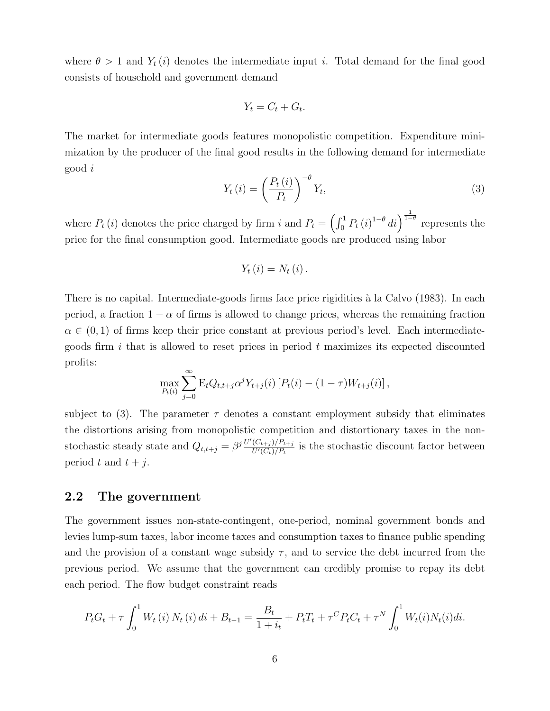where  $\theta > 1$  and  $Y_t(i)$  denotes the intermediate input *i*. Total demand for the final good consists of household and government demand

$$
Y_t = C_t + G_t.
$$

The market for intermediate goods features monopolistic competition. Expenditure minimization by the producer of the final good results in the following demand for intermediate good *i*

$$
Y_{t}(i) = \left(\frac{P_{t}(i)}{P_{t}}\right)^{-\theta} Y_{t},\tag{3}
$$

where  $P_t(i)$  denotes the price charged by firm *i* and  $P_t = \left(\int_0^1 P_t(i)^{1-\theta} di\right)^{\frac{1}{1-\theta}}$  represents the price for the final consumption good. Intermediate goods are produced using labor

$$
Y_{t}(i)=N_{t}(i).
$$

There is no capital. Intermediate-goods firms face price rigidities à la Calvo (1983). In each period, a fraction  $1 - \alpha$  of firms is allowed to change prices, whereas the remaining fraction  $\alpha \in (0,1)$  of firms keep their price constant at previous period's level. Each intermediategoods firm *i* that is allowed to reset prices in period *t* maximizes its expected discounted profits:

$$
\max_{P_t(i)} \sum_{j=0}^{\infty} \mathcal{E}_t Q_{t,t+j} \alpha^j Y_{t+j}(i) \left[ P_t(i) - (1-\tau) W_{t+j}(i) \right],
$$

subject to (3). The parameter  $\tau$  denotes a constant employment subsidy that eliminates the distortions arising from monopolistic competition and distortionary taxes in the nonstochastic steady state and  $Q_{t,t+j} = \beta^{j} \frac{U'(C_{t+j})/P_{t+j}}{U'(C_t)/P_t}$  $\frac{(C_{t+j})/P_{t+j}}{U'(C_t)/P_t}$  is the stochastic discount factor between period  $t$  and  $t + j$ .

#### **2.2 The government**

The government issues non-state-contingent, one-period, nominal government bonds and levies lump-sum taxes, labor income taxes and consumption taxes to finance public spending and the provision of a constant wage subsidy  $\tau$ , and to service the debt incurred from the previous period. We assume that the government can credibly promise to repay its debt each period. The flow budget constraint reads

$$
P_t G_t + \tau \int_0^1 W_t(i) N_t(i) di + B_{t-1} = \frac{B_t}{1+i_t} + P_t T_t + \tau^C P_t C_t + \tau^N \int_0^1 W_t(i) N_t(i) di.
$$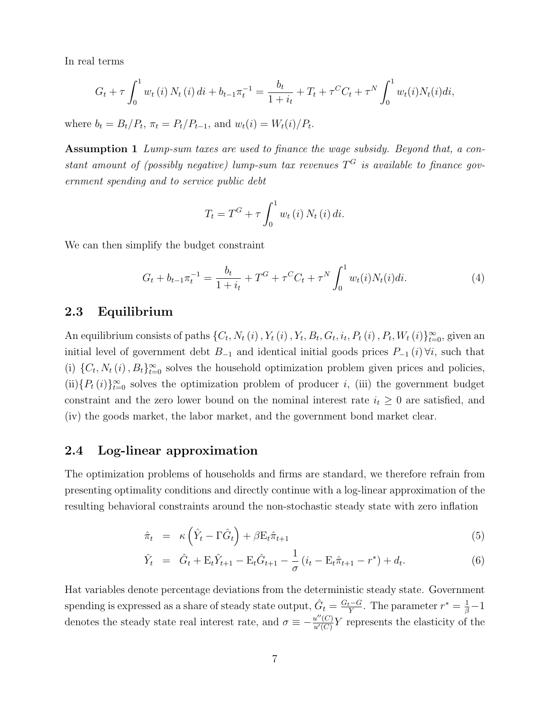In real terms

$$
G_t + \tau \int_0^1 w_t(i) N_t(i) di + b_{t-1} \pi_t^{-1} = \frac{b_t}{1+i_t} + T_t + \tau^C C_t + \tau^N \int_0^1 w_t(i) N_t(i) di,
$$

where  $b_t = B_t/P_t$ ,  $\pi_t = P_t/P_{t-1}$ , and  $w_t(i) = W_t(i)/P_t$ .

**Assumption 1** *Lump-sum taxes are used to finance the wage subsidy. Beyond that, a constant amount of (possibly negative) lump-sum tax revenues*  $T<sup>G</sup>$  *is available to finance government spending and to service public debt*

$$
T_t = T^G + \tau \int_0^1 w_t(i) N_t(i) di.
$$

We can then simplify the budget constraint

$$
G_t + b_{t-1} \pi_t^{-1} = \frac{b_t}{1+i_t} + T^G + \tau^C C_t + \tau^N \int_0^1 w_t(i) N_t(i) di. \tag{4}
$$

#### **2.3 Equilibrium**

An equilibrium consists of paths  $\{C_t, N_t(i), Y_t(i), Y_t, B_t, G_t, i_t, P_t(i), P_t, W_t(i)\}_{t=0}^{\infty}$ , given an initial level of government debt  $B_{-1}$  and identical initial goods prices  $P_{-1}(i) \forall i$ , such that (i)  $\{C_t, N_t(i), B_t\}_{t=0}^{\infty}$  solves the household optimization problem given prices and policies,  $(ii)$ { $P_t(i)$ } $\sum_{t=0}^{\infty}$  solves the optimization problem of producer *i*, (iii) the government budget constraint and the zero lower bound on the nominal interest rate  $i_t \geq 0$  are satisfied, and (iv) the goods market, the labor market, and the government bond market clear.

#### **2.4 Log-linear approximation**

The optimization problems of households and firms are standard, we therefore refrain from presenting optimality conditions and directly continue with a log-linear approximation of the resulting behavioral constraints around the non-stochastic steady state with zero inflation

$$
\hat{\pi}_t = \kappa \left( \hat{Y}_t - \Gamma \hat{G}_t \right) + \beta E_t \hat{\pi}_{t+1} \tag{5}
$$

$$
\hat{Y}_t = \hat{G}_t + \mathbf{E}_t \hat{Y}_{t+1} - \mathbf{E}_t \hat{G}_{t+1} - \frac{1}{\sigma} \left( i_t - \mathbf{E}_t \hat{\pi}_{t+1} - r^* \right) + d_t.
$$
\n(6)

Hat variables denote percentage deviations from the deterministic steady state. Government spending is expressed as a share of steady state output,  $\hat{G}_t = \frac{G_t - G_t}{Y}$ *y*<sup> $\frac{t-G}{Y}$ . The parameter  $r^* = \frac{1}{\beta} - 1$ </sup> denotes the steady state real interest rate, and  $\sigma \equiv -\frac{u''(C)}{u'(C)}$  $\frac{u''(C)}{u'(C)}Y$  represents the elasticity of the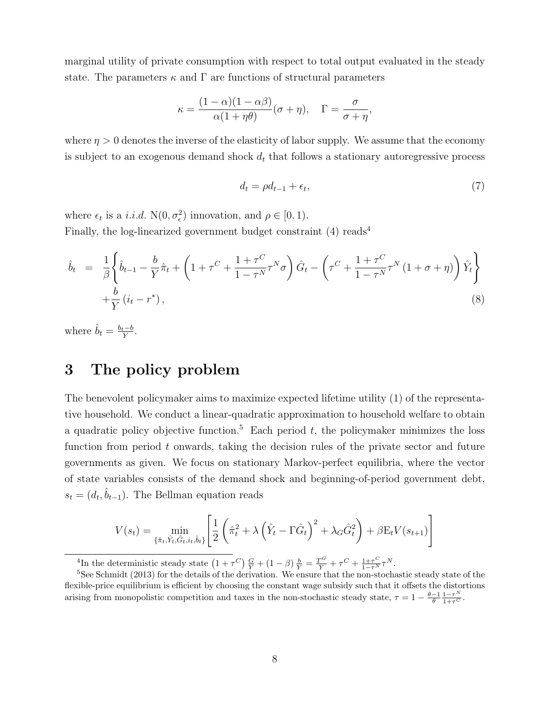marginal utility of private consumption with respect to total output evaluated in the steady state. The parameters  $\kappa$  and  $\Gamma$  are functions of structural parameters

$$
\kappa = \frac{(1-\alpha)(1-\alpha\beta)}{\alpha(1+\eta\theta)}(\sigma+\eta), \quad \Gamma = \frac{\sigma}{\sigma+\eta},
$$

where  $\eta > 0$  denotes the inverse of the elasticity of labor supply. We assume that the economy is subject to an exogenous demand shock  $d_t$  that follows a stationary autoregressive process

$$
d_t = \rho d_{t-1} + \epsilon_t,\tag{7}
$$

where  $\epsilon_t$  is a *i.i.d.* N $(0, \sigma_{\epsilon}^2)$  innovation, and  $\rho \in [0, 1)$ . Finally, the log-linearized government budget constraint  $(4)$  reads<sup>4</sup>

$$
\hat{b}_{t} = \frac{1}{\beta} \left\{ \hat{b}_{t-1} - \frac{b}{Y} \hat{\pi}_{t} + \left( 1 + \tau^{C} + \frac{1 + \tau^{C}}{1 - \tau^{N}} \tau^{N} \sigma \right) \hat{G}_{t} - \left( \tau^{C} + \frac{1 + \tau^{C}}{1 - \tau^{N}} \tau^{N} \left( 1 + \sigma + \eta \right) \right) \hat{Y}_{t} \right\}
$$
\n
$$
+ \frac{b}{Y} \left( i_{t} - r^{*} \right), \tag{8}
$$

where  $\hat{b}_t = \frac{b_t - b}{Y}$  $\frac{e-b}{Y}$ .

## **3 The policy problem**

The benevolent policymaker aims to maximize expected lifetime utility (1) of the representative household. We conduct a linear-quadratic approximation to household welfare to obtain a quadratic policy objective function.<sup>5</sup> Each period  $t$ , the policymaker minimizes the loss function from period *t* onwards, taking the decision rules of the private sector and future governments as given. We focus on stationary Markov-perfect equilibria, where the vector of state variables consists of the demand shock and beginning-of-period government debt,  $s_t = (d_t, \hat{b}_{t-1})$ . The Bellman equation reads

$$
V(s_t) = \min_{\{\hat{\pi}_t, \hat{Y}_t, \hat{G}_t, i_t, \hat{b}_t\}} \left[ \frac{1}{2} \left( \hat{\pi}_t^2 + \lambda \left( \hat{Y}_t - \Gamma \hat{G}_t \right)^2 + \lambda_G \hat{G}_t^2 \right) + \beta E_t V(s_{t+1}) \right]
$$

<sup>4</sup>In the deterministic steady state  $(1+\tau^C)\frac{G}{Y} + (1-\beta)\frac{b}{Y} = \frac{T^G}{Y} + \tau^C + \frac{1+\tau^C}{1-\tau^N}\tau^N$ .

<sup>&</sup>lt;sup>5</sup>See Schmidt (2013) for the details of the derivation. We ensure that the non-stochastic steady state of the flexible-price equilibrium is efficient by choosing the constant wage subsidy such that it offsets the distortions arising from monopolistic competition and taxes in the non-stochastic steady state,  $\tau = 1 - \frac{\theta - 1}{\theta} \frac{1 - \tau^N}{1 + \tau^C}$ .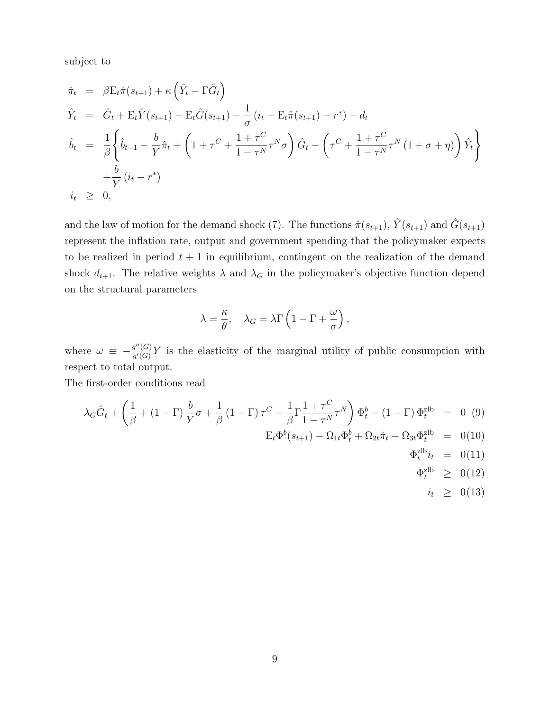subject to

$$
\hat{\pi}_t = \beta \mathbf{E}_t \hat{\pi}(s_{t+1}) + \kappa \left( \hat{Y}_t - \Gamma \hat{G}_t \right)
$$
\n
$$
\hat{Y}_t = \hat{G}_t + \mathbf{E}_t \hat{Y}(s_{t+1}) - \mathbf{E}_t \hat{G}(s_{t+1}) - \frac{1}{\sigma} \left( i_t - \mathbf{E}_t \hat{\pi}(s_{t+1}) - r^* \right) + d_t
$$
\n
$$
\hat{b}_t = \frac{1}{\beta} \left\{ \hat{b}_{t-1} - \frac{b}{Y} \hat{\pi}_t + \left( 1 + \tau^C + \frac{1 + \tau^C}{1 - \tau^N} \tau^N \sigma \right) \hat{G}_t - \left( \tau^C + \frac{1 + \tau^C}{1 - \tau^N} \tau^N \left( 1 + \sigma + \eta \right) \right) \hat{Y}_t \right\}
$$
\n
$$
+ \frac{b}{Y} \left( i_t - r^* \right)
$$
\n
$$
i_t \geq 0,
$$

and the law of motion for the demand shock (7). The functions  $\hat{\pi}(s_{t+1}), \hat{Y}(s_{t+1})$  and  $\hat{G}(s_{t+1})$ represent the inflation rate, output and government spending that the policymaker expects to be realized in period  $t + 1$  in equilibrium, contingent on the realization of the demand shock  $d_{t+1}$ . The relative weights  $\lambda$  and  $\lambda_G$  in the policymaker's objective function depend on the structural parameters

$$
\lambda = \frac{\kappa}{\theta}, \quad \lambda_G = \lambda \Gamma \left( 1 - \Gamma + \frac{\omega}{\sigma} \right),
$$

where  $\omega \equiv -\frac{g''(G)}{g'(G)}$  $g''(G)Y$  is the elasticity of the marginal utility of public consumption with respect to total output.

The first-order conditions read

$$
\lambda_G \hat{G}_t + \left(\frac{1}{\beta} + (1 - \Gamma) \frac{b}{Y} \sigma + \frac{1}{\beta} (1 - \Gamma) \tau^C - \frac{1}{\beta} \Gamma \frac{1 + \tau^C}{1 - \tau^N} \tau^N \right) \Phi_t^b - (1 - \Gamma) \Phi_t^{\text{2lb}} = 0 \quad (9)
$$
  
\n
$$
E_t \Phi^b(s_{t+1}) - \Omega_{1t} \Phi_t^b + \Omega_{2t} \hat{\pi}_t - \Omega_{3t} \Phi_t^{\text{2lb}} = 0 \quad (10)
$$
  
\n
$$
\Phi_t^{\text{2lb}} i_t = 0 \quad (11)
$$
  
\n
$$
\Phi_t^{\text{2lb}} \ge 0 \quad (12)
$$
  
\n
$$
i_t \ge 0 \quad (13)
$$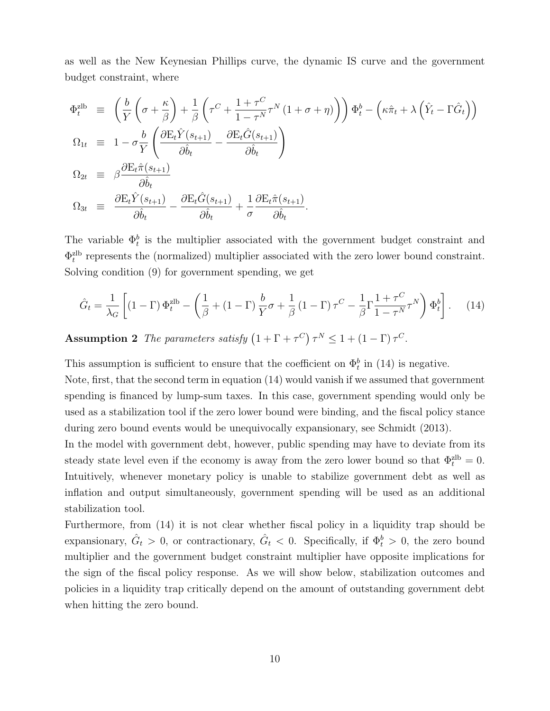as well as the New Keynesian Phillips curve, the dynamic IS curve and the government budget constraint, where

$$
\Phi_t^{\text{zlb}} \equiv \left( \frac{b}{Y} \left( \sigma + \frac{\kappa}{\beta} \right) + \frac{1}{\beta} \left( \tau^C + \frac{1 + \tau^C}{1 - \tau^N} \tau^N (1 + \sigma + \eta) \right) \right) \Phi_t^b - \left( \kappa \hat{\pi}_t + \lambda \left( \hat{Y}_t - \Gamma \hat{G}_t \right) \right)
$$
\n
$$
\Omega_{1t} \equiv 1 - \sigma \frac{b}{Y} \left( \frac{\partial \mathcal{E}_t \hat{Y}(s_{t+1})}{\partial \hat{b}_t} - \frac{\partial \mathcal{E}_t \hat{G}(s_{t+1})}{\partial \hat{b}_t} \right)
$$
\n
$$
\Omega_{2t} \equiv \beta \frac{\partial \mathcal{E}_t \hat{\pi}(s_{t+1})}{\partial \hat{b}_t}
$$
\n
$$
\Omega_{3t} \equiv \frac{\partial \mathcal{E}_t \hat{Y}(s_{t+1})}{\partial \hat{b}_t} - \frac{\partial \mathcal{E}_t \hat{G}(s_{t+1})}{\partial \hat{b}_t} + \frac{1}{\sigma} \frac{\partial \mathcal{E}_t \hat{\pi}(s_{t+1})}{\partial \hat{b}_t}.
$$

The variable  $\Phi_t^b$  is the multiplier associated with the government budget constraint and  $\Phi_t^{\text{zlb}}$  represents the (normalized) multiplier associated with the zero lower bound constraint. Solving condition (9) for government spending, we get

$$
\hat{G}_t = \frac{1}{\lambda_G} \left[ (1 - \Gamma) \Phi_t^{\text{zlb}} - \left( \frac{1}{\beta} + (1 - \Gamma) \frac{b}{Y} \sigma + \frac{1}{\beta} (1 - \Gamma) \tau^C - \frac{1}{\beta} \Gamma \frac{1 + \tau^C}{1 - \tau^N} \tau^N \right) \Phi_t^b \right]. \tag{14}
$$

**Assumption 2** *The parameters satisfy*  $(1 + \Gamma + \tau^C) \tau^N \leq 1 + (1 - \Gamma) \tau^C$ .

This assumption is sufficient to ensure that the coefficient on  $\Phi_t^b$  in (14) is negative.

Note, first, that the second term in equation (14) would vanish if we assumed that government spending is financed by lump-sum taxes. In this case, government spending would only be used as a stabilization tool if the zero lower bound were binding, and the fiscal policy stance during zero bound events would be unequivocally expansionary, see Schmidt (2013).

In the model with government debt, however, public spending may have to deviate from its steady state level even if the economy is away from the zero lower bound so that  $\Phi_t^{\text{zlb}} = 0$ . Intuitively, whenever monetary policy is unable to stabilize government debt as well as inflation and output simultaneously, government spending will be used as an additional stabilization tool.

Furthermore, from (14) it is not clear whether fiscal policy in a liquidity trap should be expansionary,  $\hat{G}_t > 0$ , or contractionary,  $\hat{G}_t < 0$ . Specifically, if  $\Phi_t^b > 0$ , the zero bound multiplier and the government budget constraint multiplier have opposite implications for the sign of the fiscal policy response. As we will show below, stabilization outcomes and policies in a liquidity trap critically depend on the amount of outstanding government debt when hitting the zero bound.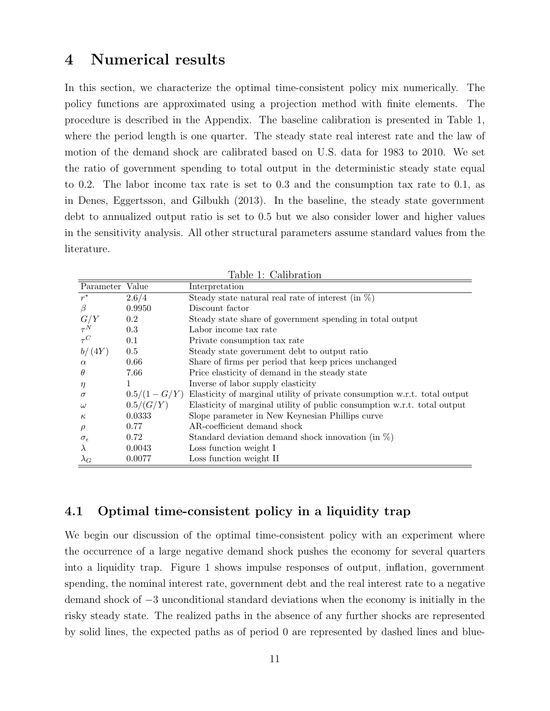## **4 Numerical results**

In this section, we characterize the optimal time-consistent policy mix numerically. The policy functions are approximated using a projection method with finite elements. The procedure is described in the Appendix. The baseline calibration is presented in Table 1, where the period length is one quarter. The steady state real interest rate and the law of motion of the demand shock are calibrated based on U.S. data for 1983 to 2010. We set the ratio of government spending to total output in the deterministic steady state equal to 0*.*2. The labor income tax rate is set to 0*.*3 and the consumption tax rate to 0*.*1, as in Denes, Eggertsson, and Gilbukh (2013). In the baseline, the steady state government debt to annualized output ratio is set to 0*.*5 but we also consider lower and higher values in the sensitivity analysis. All other structural parameters assume standard values from the literature.

| таріє т. Санрганон  |                 |                                                                           |
|---------------------|-----------------|---------------------------------------------------------------------------|
| Parameter           | Value           | Interpretation                                                            |
| $r^*$               | 2.6/4           | Steady state natural real rate of interest (in $\%$ )                     |
| $\beta$             | 0.9950          | Discount factor                                                           |
| G/Y                 | 0.2             | Steady state share of government spending in total output                 |
| $\tau^N$            | 0.3             | Labor income tax rate                                                     |
| $\tau^C$            | 0.1             | Private consumption tax rate                                              |
| b/(4Y)              | 0.5             | Steady state government debt to output ratio                              |
| $\alpha$            | 0.66            | Share of firms per period that keep prices unchanged                      |
| $\theta$            | 7.66            | Price elasticity of demand in the steady state                            |
| $\eta$              |                 | Inverse of labor supply elasticity                                        |
| $\sigma$            | $0.5/(1 - G/Y)$ | Elasticity of marginal utility of private consumption w.r.t. total output |
| $\omega$            | 0.5/(G/Y)       | Elasticity of marginal utility of public consumption w.r.t. total output  |
| $\kappa$            | 0.0333          | Slope parameter in New Keynesian Phillips curve                           |
| $\rho$              | 0.77            | AR-coefficient demand shock                                               |
| $\sigma_{\epsilon}$ | 0.72            | Standard deviation demand shock innovation (in $\%$ )                     |
| $\lambda$           | 0.0043          | Loss function weight I                                                    |
| $\lambda_G$         | 0.0077          | Loss function weight II                                                   |

Table 1: Calibration

#### **4.1 Optimal time-consistent policy in a liquidity trap**

We begin our discussion of the optimal time-consistent policy with an experiment where the occurrence of a large negative demand shock pushes the economy for several quarters into a liquidity trap. Figure 1 shows impulse responses of output, inflation, government spending, the nominal interest rate, government debt and the real interest rate to a negative demand shock of *−*3 unconditional standard deviations when the economy is initially in the risky steady state. The realized paths in the absence of any further shocks are represented by solid lines, the expected paths as of period 0 are represented by dashed lines and blue-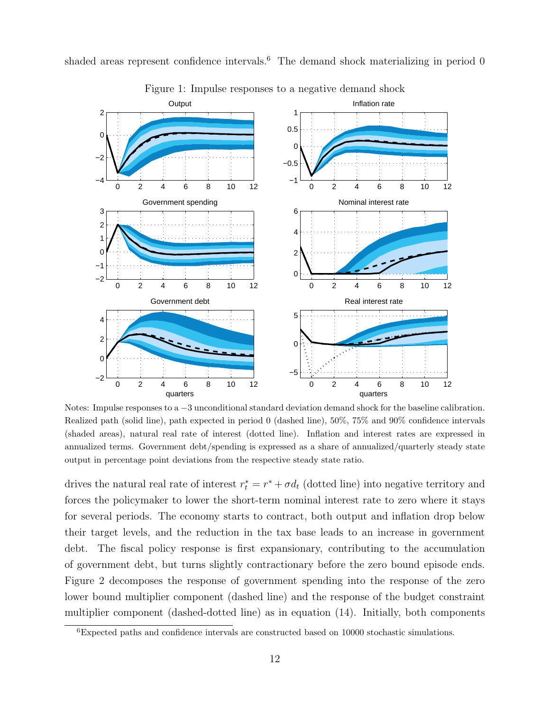

shaded areas represent confidence intervals.<sup>6</sup> The demand shock materializing in period  $0$ 

Notes: Impulse responses to a  $-3$  unconditional standard deviation demand shock for the baseline calibration. Realized path (solid line), path expected in period 0 (dashed line), 50%, 75% and 90% confidence intervals (shaded areas), natural real rate of interest (dotted line). Inflation and interest rates are expressed in annualized terms. Government debt/spending is expressed as a share of annualized/quarterly steady state output in percentage point deviations from the respective steady state ratio.

drives the natural real rate of interest  $r_t^* = r^* + \sigma d_t$  (dotted line) into negative territory and forces the policymaker to lower the short-term nominal interest rate to zero where it stays for several periods. The economy starts to contract, both output and inflation drop below their target levels, and the reduction in the tax base leads to an increase in government debt. The fiscal policy response is first expansionary, contributing to the accumulation

of government debt, but turns slightly contractionary before the zero bound episode ends. Figure 2 decomposes the response of government spending into the response of the zero lower bound multiplier component (dashed line) and the response of the budget constraint multiplier component (dashed-dotted line) as in equation (14). Initially, both components

<sup>6</sup>Expected paths and confidence intervals are constructed based on 10000 stochastic simulations.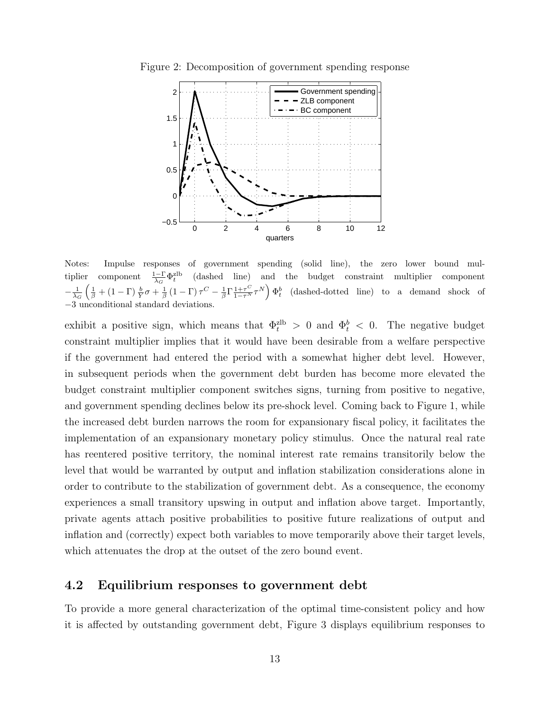

Figure 2: Decomposition of government spending response

Notes: Impulse responses of government spending (solid line), the zero lower bound multiplier component  $\frac{1-\Gamma}{\lambda_G} \Phi_t^{\text{zlb}}$ (dashed line) and the budget constraint multiplier component  $-\frac{1}{\lambda_G} \left( \frac{1}{\beta} + (1 - \Gamma) \frac{b}{Y} \sigma + \frac{1}{\beta} (1 - \Gamma) \tau^C - \frac{1}{\beta} \Gamma \frac{1 + \tau^C}{1 - \tau^N} \tau^N \right) \Phi_t^b$  (dashed-dotted line) to a demand shock of *−*3 unconditional standard deviations.

exhibit a positive sign, which means that  $\Phi_t^{\text{zlb}} > 0$  and  $\Phi_t^b < 0$ . The negative budget constraint multiplier implies that it would have been desirable from a welfare perspective if the government had entered the period with a somewhat higher debt level. However, in subsequent periods when the government debt burden has become more elevated the budget constraint multiplier component switches signs, turning from positive to negative, and government spending declines below its pre-shock level. Coming back to Figure 1, while the increased debt burden narrows the room for expansionary fiscal policy, it facilitates the implementation of an expansionary monetary policy stimulus. Once the natural real rate has reentered positive territory, the nominal interest rate remains transitorily below the level that would be warranted by output and inflation stabilization considerations alone in order to contribute to the stabilization of government debt. As a consequence, the economy experiences a small transitory upswing in output and inflation above target. Importantly, private agents attach positive probabilities to positive future realizations of output and inflation and (correctly) expect both variables to move temporarily above their target levels, which attenuates the drop at the outset of the zero bound event.

#### **4.2 Equilibrium responses to government debt**

To provide a more general characterization of the optimal time-consistent policy and how it is affected by outstanding government debt, Figure 3 displays equilibrium responses to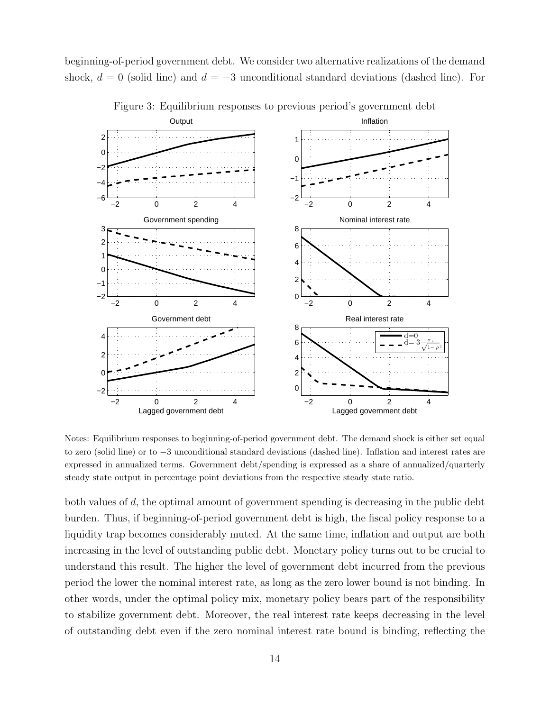beginning-of-period government debt. We consider two alternative realizations of the demand shock, *d* = 0 (solid line) and *d* = *−*3 unconditional standard deviations (dashed line). For



Figure 3: Equilibrium responses to previous period's government debt

Notes: Equilibrium responses to beginning-of-period government debt. The demand shock is either set equal to zero (solid line) or to *−*3 unconditional standard deviations (dashed line). Inflation and interest rates are expressed in annualized terms. Government debt/spending is expressed as a share of annualized/quarterly steady state output in percentage point deviations from the respective steady state ratio.

both values of *d*, the optimal amount of government spending is decreasing in the public debt burden. Thus, if beginning-of-period government debt is high, the fiscal policy response to a liquidity trap becomes considerably muted. At the same time, inflation and output are both increasing in the level of outstanding public debt. Monetary policy turns out to be crucial to understand this result. The higher the level of government debt incurred from the previous period the lower the nominal interest rate, as long as the zero lower bound is not binding. In other words, under the optimal policy mix, monetary policy bears part of the responsibility to stabilize government debt. Moreover, the real interest rate keeps decreasing in the level of outstanding debt even if the zero nominal interest rate bound is binding, reflecting the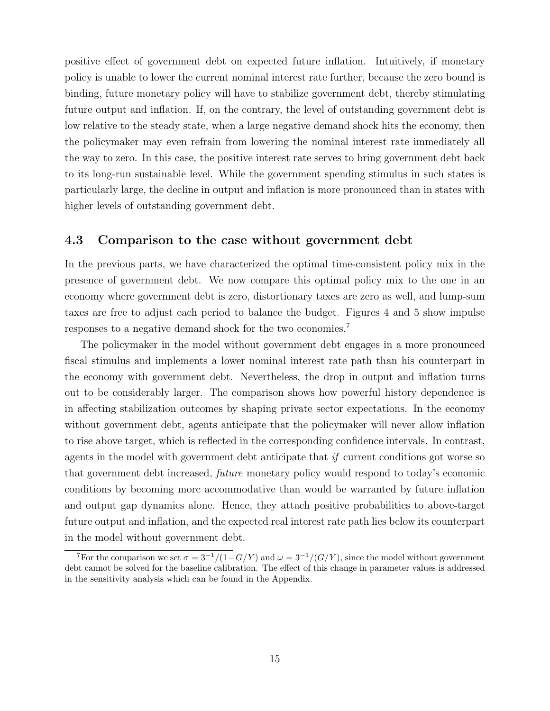positive effect of government debt on expected future inflation. Intuitively, if monetary policy is unable to lower the current nominal interest rate further, because the zero bound is binding, future monetary policy will have to stabilize government debt, thereby stimulating future output and inflation. If, on the contrary, the level of outstanding government debt is low relative to the steady state, when a large negative demand shock hits the economy, then the policymaker may even refrain from lowering the nominal interest rate immediately all the way to zero. In this case, the positive interest rate serves to bring government debt back to its long-run sustainable level. While the government spending stimulus in such states is particularly large, the decline in output and inflation is more pronounced than in states with higher levels of outstanding government debt.

#### **4.3 Comparison to the case without government debt**

In the previous parts, we have characterized the optimal time-consistent policy mix in the presence of government debt. We now compare this optimal policy mix to the one in an economy where government debt is zero, distortionary taxes are zero as well, and lump-sum taxes are free to adjust each period to balance the budget. Figures 4 and 5 show impulse responses to a negative demand shock for the two economies.<sup>7</sup>

The policymaker in the model without government debt engages in a more pronounced fiscal stimulus and implements a lower nominal interest rate path than his counterpart in the economy with government debt. Nevertheless, the drop in output and inflation turns out to be considerably larger. The comparison shows how powerful history dependence is in affecting stabilization outcomes by shaping private sector expectations. In the economy without government debt, agents anticipate that the policymaker will never allow inflation to rise above target, which is reflected in the corresponding confidence intervals. In contrast, agents in the model with government debt anticipate that *if* current conditions got worse so that government debt increased, *future* monetary policy would respond to today's economic conditions by becoming more accommodative than would be warranted by future inflation and output gap dynamics alone. Hence, they attach positive probabilities to above-target future output and inflation, and the expected real interest rate path lies below its counterpart in the model without government debt.

<sup>&</sup>lt;sup>7</sup>For the comparison we set  $\sigma = 3^{-1}/(1 - G/Y)$  and  $\omega = 3^{-1}/(G/Y)$ , since the model without government debt cannot be solved for the baseline calibration. The effect of this change in parameter values is addressed in the sensitivity analysis which can be found in the Appendix.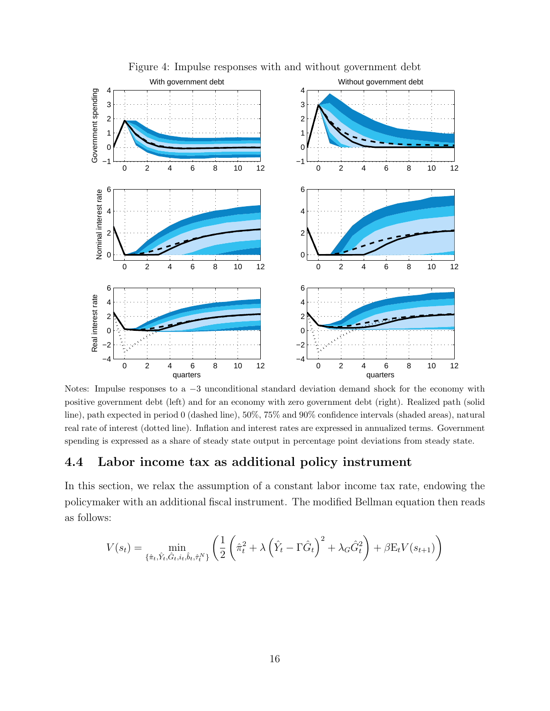

Figure 4: Impulse responses with and without government debt

Notes: Impulse responses to a *−*3 unconditional standard deviation demand shock for the economy with positive government debt (left) and for an economy with zero government debt (right). Realized path (solid line), path expected in period 0 (dashed line), 50%, 75% and 90% confidence intervals (shaded areas), natural real rate of interest (dotted line). Inflation and interest rates are expressed in annualized terms. Government spending is expressed as a share of steady state output in percentage point deviations from steady state.

#### **4.4 Labor income tax as additional policy instrument**

In this section, we relax the assumption of a constant labor income tax rate, endowing the policymaker with an additional fiscal instrument. The modified Bellman equation then reads as follows:

$$
V(s_t) = \min_{\{\hat{\pi}_t, \hat{Y}_t, \hat{G}_t, i_t, \hat{b}_t, \hat{\tau}_t^N\}} \left( \frac{1}{2} \left( \hat{\pi}_t^2 + \lambda \left( \hat{Y}_t - \Gamma \hat{G}_t \right)^2 + \lambda_G \hat{G}_t^2 \right) + \beta E_t V(s_{t+1}) \right)
$$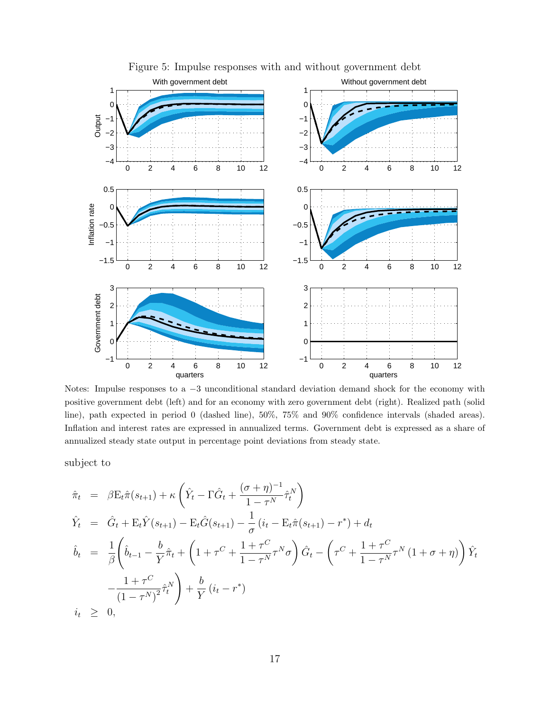

Figure 5: Impulse responses with and without government debt

Notes: Impulse responses to a *−*3 unconditional standard deviation demand shock for the economy with positive government debt (left) and for an economy with zero government debt (right). Realized path (solid line), path expected in period 0 (dashed line), 50%, 75% and 90% confidence intervals (shaded areas). Inflation and interest rates are expressed in annualized terms. Government debt is expressed as a share of annualized steady state output in percentage point deviations from steady state.

subject to

$$
\hat{\pi}_t = \beta \mathbf{E}_t \hat{\pi}(s_{t+1}) + \kappa \left( \hat{Y}_t - \Gamma \hat{G}_t + \frac{(\sigma + \eta)^{-1}}{1 - \tau^N} \hat{\tau}_t^N \right)
$$
\n
$$
\hat{Y}_t = \hat{G}_t + \mathbf{E}_t \hat{Y}(s_{t+1}) - \mathbf{E}_t \hat{G}(s_{t+1}) - \frac{1}{\sigma} (i_t - \mathbf{E}_t \hat{\pi}(s_{t+1}) - r^*) + d_t
$$
\n
$$
\hat{b}_t = \frac{1}{\beta} \left( \hat{b}_{t-1} - \frac{b}{Y} \hat{\pi}_t + \left( 1 + \tau^C + \frac{1 + \tau^C}{1 - \tau^N} \tau^N \sigma \right) \hat{G}_t - \left( \tau^C + \frac{1 + \tau^C}{1 - \tau^N} \tau^N \left( 1 + \sigma + \eta \right) \right) \hat{Y}_t
$$
\n
$$
-\frac{1 + \tau^C}{(1 - \tau^N)^2} \hat{\tau}_t^N \right) + \frac{b}{Y} (i_t - r^*)
$$
\n
$$
i_t \geq 0,
$$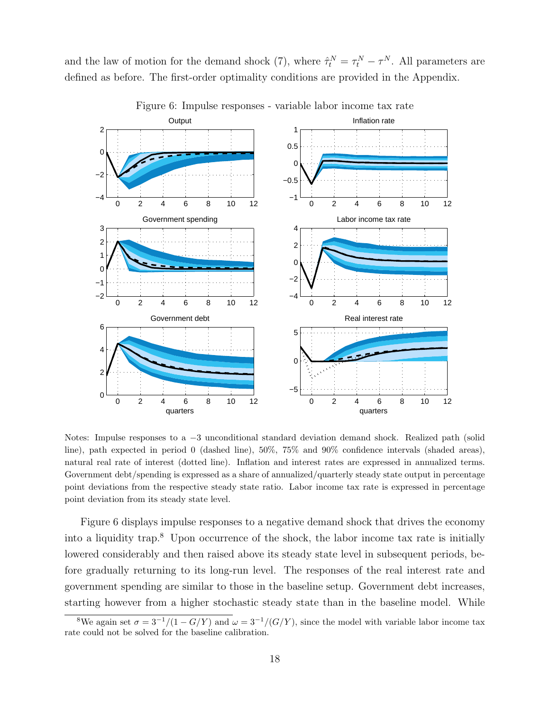and the law of motion for the demand shock (7), where  $\hat{\tau}_t^N = \tau_t^N - \tau^N$ . All parameters are defined as before. The first-order optimality conditions are provided in the Appendix.



Figure 6: Impulse responses - variable labor income tax rate

Notes: Impulse responses to a *−*3 unconditional standard deviation demand shock. Realized path (solid line), path expected in period 0 (dashed line), 50%, 75% and 90% confidence intervals (shaded areas), natural real rate of interest (dotted line). Inflation and interest rates are expressed in annualized terms. Government debt/spending is expressed as a share of annualized/quarterly steady state output in percentage point deviations from the respective steady state ratio. Labor income tax rate is expressed in percentage point deviation from its steady state level.

Figure 6 displays impulse responses to a negative demand shock that drives the economy into a liquidity trap.<sup>8</sup> Upon occurrence of the shock, the labor income tax rate is initially lowered considerably and then raised above its steady state level in subsequent periods, before gradually returning to its long-run level. The responses of the real interest rate and government spending are similar to those in the baseline setup. Government debt increases, starting however from a higher stochastic steady state than in the baseline model. While

<sup>&</sup>lt;sup>8</sup>We again set  $\sigma = 3^{-1}/(1 - G/Y)$  and  $\omega = 3^{-1}/(G/Y)$ , since the model with variable labor income tax rate could not be solved for the baseline calibration.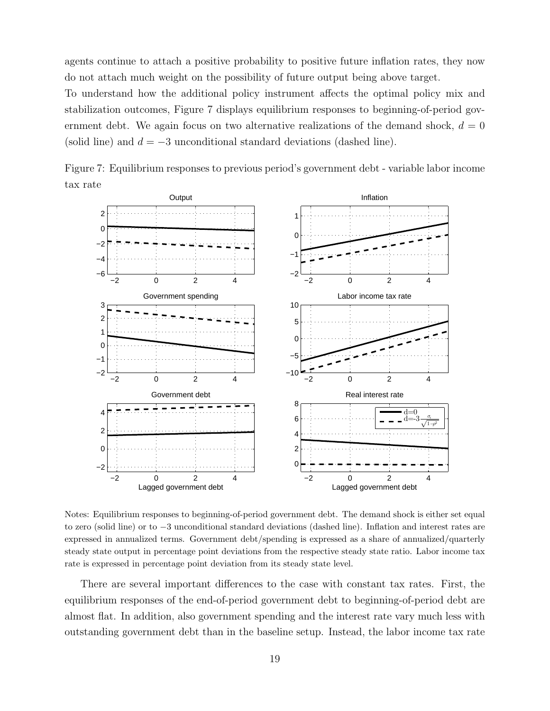agents continue to attach a positive probability to positive future inflation rates, they now do not attach much weight on the possibility of future output being above target.

To understand how the additional policy instrument affects the optimal policy mix and stabilization outcomes, Figure 7 displays equilibrium responses to beginning-of-period government debt. We again focus on two alternative realizations of the demand shock,  $d = 0$ (solid line) and *d* = *−*3 unconditional standard deviations (dashed line).



Figure 7: Equilibrium responses to previous period's government debt - variable labor income tax rate

Notes: Equilibrium responses to beginning-of-period government debt. The demand shock is either set equal to zero (solid line) or to *−*3 unconditional standard deviations (dashed line). Inflation and interest rates are expressed in annualized terms. Government debt/spending is expressed as a share of annualized/quarterly steady state output in percentage point deviations from the respective steady state ratio. Labor income tax rate is expressed in percentage point deviation from its steady state level.

There are several important differences to the case with constant tax rates. First, the equilibrium responses of the end-of-period government debt to beginning-of-period debt are almost flat. In addition, also government spending and the interest rate vary much less with outstanding government debt than in the baseline setup. Instead, the labor income tax rate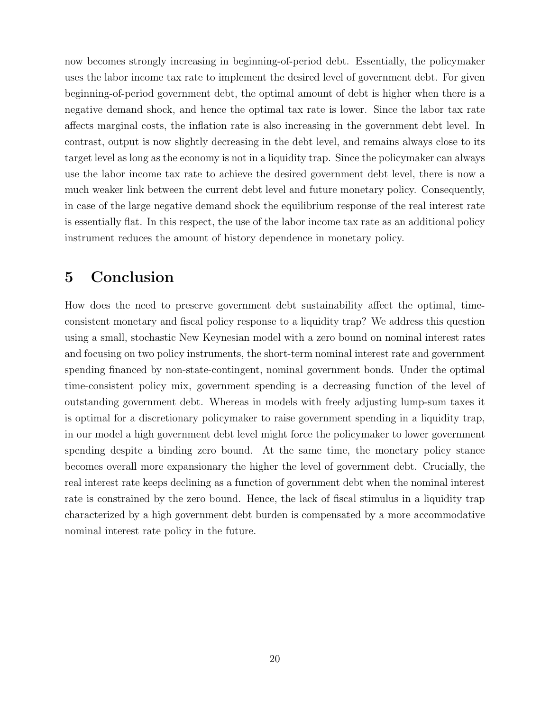now becomes strongly increasing in beginning-of-period debt. Essentially, the policymaker uses the labor income tax rate to implement the desired level of government debt. For given beginning-of-period government debt, the optimal amount of debt is higher when there is a negative demand shock, and hence the optimal tax rate is lower. Since the labor tax rate affects marginal costs, the inflation rate is also increasing in the government debt level. In contrast, output is now slightly decreasing in the debt level, and remains always close to its target level as long as the economy is not in a liquidity trap. Since the policymaker can always use the labor income tax rate to achieve the desired government debt level, there is now a much weaker link between the current debt level and future monetary policy. Consequently, in case of the large negative demand shock the equilibrium response of the real interest rate is essentially flat. In this respect, the use of the labor income tax rate as an additional policy instrument reduces the amount of history dependence in monetary policy.

## **5 Conclusion**

How does the need to preserve government debt sustainability affect the optimal, timeconsistent monetary and fiscal policy response to a liquidity trap? We address this question using a small, stochastic New Keynesian model with a zero bound on nominal interest rates and focusing on two policy instruments, the short-term nominal interest rate and government spending financed by non-state-contingent, nominal government bonds. Under the optimal time-consistent policy mix, government spending is a decreasing function of the level of outstanding government debt. Whereas in models with freely adjusting lump-sum taxes it is optimal for a discretionary policymaker to raise government spending in a liquidity trap, in our model a high government debt level might force the policymaker to lower government spending despite a binding zero bound. At the same time, the monetary policy stance becomes overall more expansionary the higher the level of government debt. Crucially, the real interest rate keeps declining as a function of government debt when the nominal interest rate is constrained by the zero bound. Hence, the lack of fiscal stimulus in a liquidity trap characterized by a high government debt burden is compensated by a more accommodative nominal interest rate policy in the future.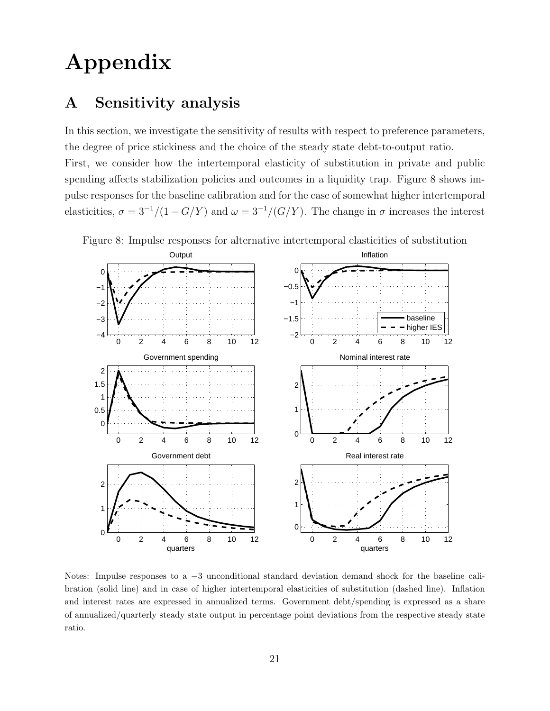## **Appendix**

## **A Sensitivity analysis**

In this section, we investigate the sensitivity of results with respect to preference parameters, the degree of price stickiness and the choice of the steady state debt-to-output ratio. First, we consider how the intertemporal elasticity of substitution in private and public spending affects stabilization policies and outcomes in a liquidity trap. Figure 8 shows impulse responses for the baseline calibration and for the case of somewhat higher intertemporal elasticities,  $\sigma = 3^{-1}/(1 - G/Y)$  and  $\omega = 3^{-1}/(G/Y)$ . The change in  $\sigma$  increases the interest



Figure 8: Impulse responses for alternative intertemporal elasticities of substitution

Notes: Impulse responses to a *−*3 unconditional standard deviation demand shock for the baseline calibration (solid line) and in case of higher intertemporal elasticities of substitution (dashed line). Inflation and interest rates are expressed in annualized terms. Government debt/spending is expressed as a share of annualized/quarterly steady state output in percentage point deviations from the respective steady state ratio.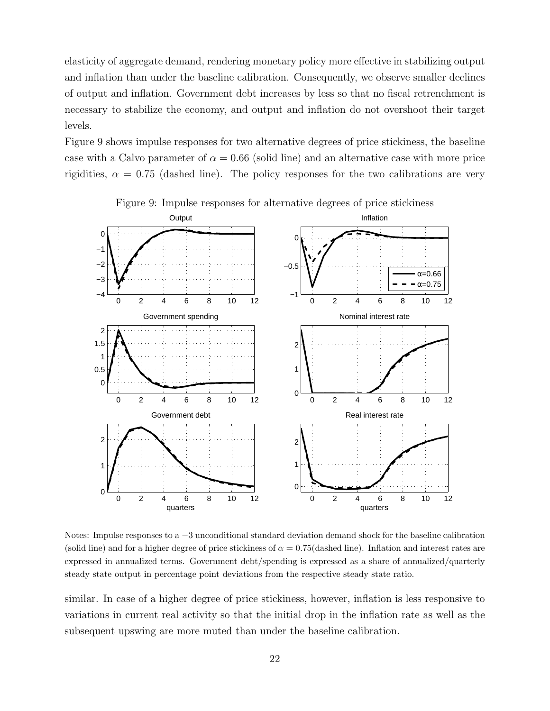elasticity of aggregate demand, rendering monetary policy more effective in stabilizing output and inflation than under the baseline calibration. Consequently, we observe smaller declines of output and inflation. Government debt increases by less so that no fiscal retrenchment is necessary to stabilize the economy, and output and inflation do not overshoot their target levels.

Figure 9 shows impulse responses for two alternative degrees of price stickiness, the baseline case with a Calvo parameter of  $\alpha = 0.66$  (solid line) and an alternative case with more price rigidities,  $\alpha = 0.75$  (dashed line). The policy responses for the two calibrations are very



Figure 9: Impulse responses for alternative degrees of price stickiness

Notes: Impulse responses to a *−*3 unconditional standard deviation demand shock for the baseline calibration (solid line) and for a higher degree of price stickiness of  $\alpha = 0.75$  (dashed line). Inflation and interest rates are expressed in annualized terms. Government debt/spending is expressed as a share of annualized/quarterly steady state output in percentage point deviations from the respective steady state ratio.

similar. In case of a higher degree of price stickiness, however, inflation is less responsive to variations in current real activity so that the initial drop in the inflation rate as well as the subsequent upswing are more muted than under the baseline calibration.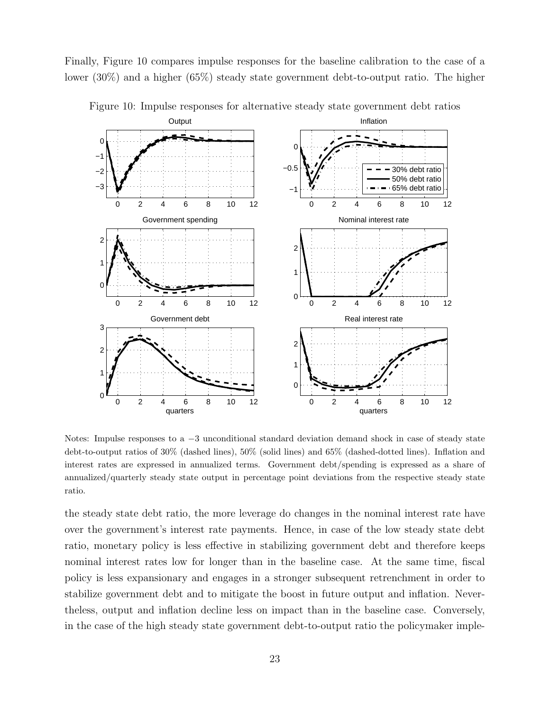Finally, Figure 10 compares impulse responses for the baseline calibration to the case of a lower (30%) and a higher (65%) steady state government debt-to-output ratio. The higher



Figure 10: Impulse responses for alternative steady state government debt ratios

Notes: Impulse responses to a *−*3 unconditional standard deviation demand shock in case of steady state debt-to-output ratios of 30% (dashed lines), 50% (solid lines) and 65% (dashed-dotted lines). Inflation and interest rates are expressed in annualized terms. Government debt/spending is expressed as a share of annualized/quarterly steady state output in percentage point deviations from the respective steady state ratio.

the steady state debt ratio, the more leverage do changes in the nominal interest rate have over the government's interest rate payments. Hence, in case of the low steady state debt ratio, monetary policy is less effective in stabilizing government debt and therefore keeps nominal interest rates low for longer than in the baseline case. At the same time, fiscal policy is less expansionary and engages in a stronger subsequent retrenchment in order to stabilize government debt and to mitigate the boost in future output and inflation. Nevertheless, output and inflation decline less on impact than in the baseline case. Conversely, in the case of the high steady state government debt-to-output ratio the policymaker imple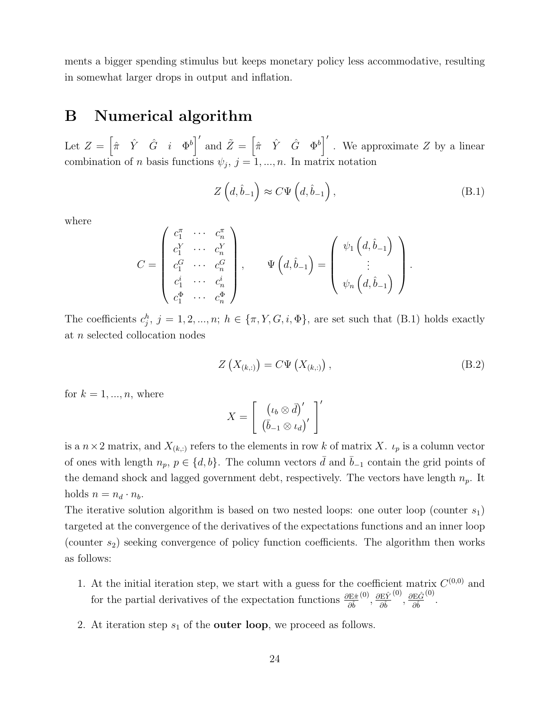ments a bigger spending stimulus but keeps monetary policy less accommodative, resulting in somewhat larger drops in output and inflation.

## **B Numerical algorithm**

Let  $Z = \begin{bmatrix} \hat{\pi} & \hat{Y} & \hat{G} & i \end{bmatrix}^{\prime}$  and  $\tilde{Z} = \begin{bmatrix} \hat{\pi} & \hat{Y} & \hat{G} & \Phi^b \end{bmatrix}^{\prime}$ . We approximate *Z* by a linear combination of *n* basis functions  $\psi_j$ ,  $j = 1, ..., n$ . In matrix notation

$$
Z\left(d,\hat{b}_{-1}\right) \approx C\Psi\left(d,\hat{b}_{-1}\right),\tag{B.1}
$$

where

$$
C = \begin{pmatrix} c_1^{\pi} & \cdots & c_n^{\pi} \\ c_1^{Y} & \cdots & c_n^{Y} \\ c_1^{G} & \cdots & c_n^{G} \\ c_1^{i} & \cdots & c_n^{i} \\ c_1^{\Phi} & \cdots & c_n^{\Phi} \end{pmatrix}, \qquad \Psi\left(d, \hat{b}_{-1}\right) = \begin{pmatrix} \psi_1\left(d, \hat{b}_{-1}\right) \\ \vdots \\ \psi_n\left(d, \hat{b}_{-1}\right) \end{pmatrix}.
$$

The coefficients  $c_j^h$ ,  $j = 1, 2, ..., n$ ;  $h \in {\pi, Y, G, i, \Phi}$ , are set such that (B.1) holds exactly at *n* selected collocation nodes

$$
Z\left(X_{(k,:)}\right) = C\Psi\left(X_{(k,:)}\right),\tag{B.2}
$$

for  $k = 1, ..., n$ , where

$$
X = \left[ \begin{array}{c} \left( \iota_b \otimes \bar{d} \right)' \\ \left( \bar{b}_{-1} \otimes \iota_d \right)' \end{array} \right]'
$$

is a  $n \times 2$  matrix, and  $X_{(k,:)}$  refers to the elements in row k of matrix X.  $\iota_p$  is a column vector of ones with length  $n_p$ ,  $p \in \{d, b\}$ . The column vectors  $\overline{d}$  and  $\overline{b}_{-1}$  contain the grid points of the demand shock and lagged government debt, respectively. The vectors have length *np*. It holds  $n = n_d \cdot n_b$ .

The iterative solution algorithm is based on two nested loops: one outer loop (counter  $s_1$ ) targeted at the convergence of the derivatives of the expectations functions and an inner loop (counter *s*2) seeking convergence of policy function coefficients. The algorithm then works as follows:

- 1. At the initial iteration step, we start with a guess for the coefficient matrix  $C^{(0,0)}$  and for the partial derivatives of the expectation functions  $\frac{\partial \mathbf{E} \hat{\pi}}{\partial \hat{b}}$ (0) *, ∂*E*Y*ˆ *∂*ˆ*b*  $\frac{\partial E \hat{G}}{\partial \hat{i}}$ *∂*ˆ*b*  $^{(0)}$ .
- 2. At iteration step *s*<sup>1</sup> of the **outer loop**, we proceed as follows.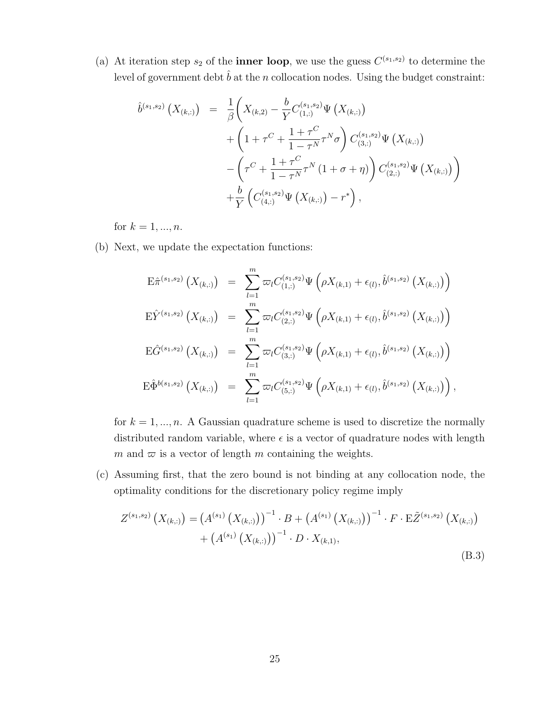(a) At iteration step  $s_2$  of the **inner loop**, we use the guess  $C^{(s_1,s_2)}$  to determine the level of government debt  $\hat{b}$  at the *n* collocation nodes. Using the budget constraint:

$$
\hat{b}^{(s_1,s_2)}(X_{(k,:)}) = \frac{1}{\beta} \left( X_{(k,2)} - \frac{b}{Y} C_{(1,:)}^{(s_1,s_2)} \Psi(X_{(k,:)}) \right.\n+ \left( 1 + \tau^C + \frac{1 + \tau^C}{1 - \tau^N} \tau^N \sigma \right) C_{(3,:)}^{(s_1,s_2)} \Psi(X_{(k,:)}) \n- \left( \tau^C + \frac{1 + \tau^C}{1 - \tau^N} \tau^N (1 + \sigma + \eta) \right) C_{(2,:)}^{(s_1,s_2)} \Psi(X_{(k,:)}) \n+ \frac{b}{Y} \left( C_{(4,:)}^{(s_1,s_2)} \Psi(X_{(k,:)}) - r^* \right),
$$

for  $k = 1, ..., n$ .

(b) Next, we update the expectation functions:

$$
\begin{array}{lll}\n\mathbf{E}\hat{\pi}^{(s_1,s_2)}\left(X_{(k,:)}\right) & = & \sum_{l=1}^m \varpi_l C_{(1,:)}^{(s_1,s_2)} \Psi\left(\rho X_{(k,1)} + \epsilon_{(l)}, \hat{b}^{(s_1,s_2)}\left(X_{(k,:)}\right)\right) \\
\mathbf{E}\hat{Y}^{(s_1,s_2)}\left(X_{(k,:)}\right) & = & \sum_{l=1}^m \varpi_l C_{(2,:)}^{(s_1,s_2)} \Psi\left(\rho X_{(k,1)} + \epsilon_{(l)}, \hat{b}^{(s_1,s_2)}\left(X_{(k,:)}\right)\right) \\
\mathbf{E}\hat{G}^{(s_1,s_2)}\left(X_{(k,:)}\right) & = & \sum_{l=1}^m \varpi_l C_{(3,:)}^{(s_1,s_2)} \Psi\left(\rho X_{(k,1)} + \epsilon_{(l)}, \hat{b}^{(s_1,s_2)}\left(X_{(k,:)}\right)\right) \\
\mathbf{E}\hat{\Phi}^{b(s_1,s_2)}\left(X_{(k,:)}\right) & = & \sum_{l=1}^m \varpi_l C_{(5,:)}^{(s_1,s_2)} \Psi\left(\rho X_{(k,1)} + \epsilon_{(l)}, \hat{b}^{(s_1,s_2)}\left(X_{(k,:)}\right)\right),\n\end{array}
$$

for  $k = 1, \ldots, n$ . A Gaussian quadrature scheme is used to discretize the normally distributed random variable, where  $\epsilon$  is a vector of quadrature nodes with length *m* and  $\varpi$  is a vector of length *m* containing the weights.

(c) Assuming first, that the zero bound is not binding at any collocation node, the optimality conditions for the discretionary policy regime imply

$$
Z^{(s_1,s_2)}\left(X_{(k,:)}\right) = \left(A^{(s_1)}\left(X_{(k,:)}\right)\right)^{-1} \cdot B + \left(A^{(s_1)}\left(X_{(k,:)}\right)\right)^{-1} \cdot F \cdot \mathbb{E}\tilde{Z}^{(s_1,s_2)}\left(X_{(k,:)}\right) + \left(A^{(s_1)}\left(X_{(k,:)}\right)\right)^{-1} \cdot D \cdot X_{(k,1)},
$$
\n(B.3)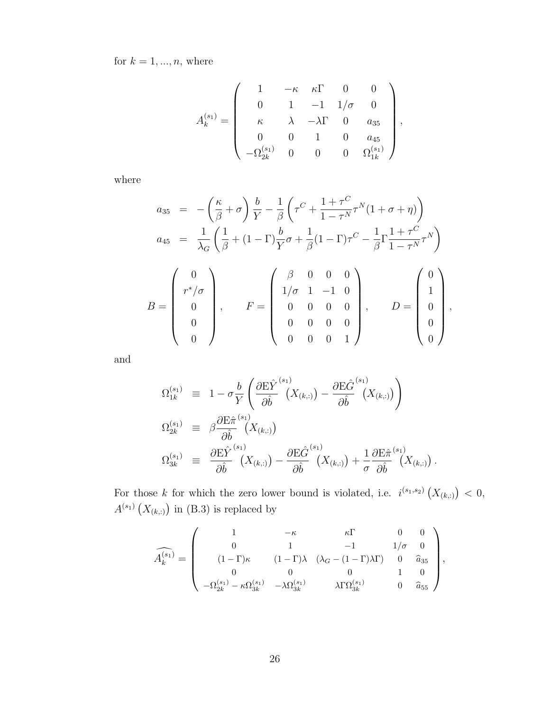for  $k = 1, ..., n$ , where

$$
A_k^{(s_1)} = \left(\begin{array}{cccc} 1 & -\kappa & \kappa \Gamma & 0 & 0 \\ 0 & 1 & -1 & 1/\sigma & 0 \\ \kappa & \lambda & -\lambda \Gamma & 0 & a_{35} \\ 0 & 0 & 1 & 0 & a_{45} \\ -\Omega_{2k}^{(s_1)} & 0 & 0 & 0 & \Omega_{1k}^{(s_1)} \end{array}\right),
$$

where

$$
a_{35} = -\left(\frac{\kappa}{\beta} + \sigma\right) \frac{b}{Y} - \frac{1}{\beta} \left(\tau^{C} + \frac{1+\tau^{C}}{1-\tau^{N}} \tau^{N} (1+\sigma + \eta)\right)
$$
  
\n
$$
a_{45} = \frac{1}{\lambda_{G}} \left(\frac{1}{\beta} + (1-\Gamma) \frac{b}{Y} \sigma + \frac{1}{\beta} (1-\Gamma) \tau^{C} - \frac{1}{\beta} \Gamma \frac{1+\tau^{C}}{1-\tau^{N}} \tau^{N}\right)
$$
  
\n
$$
B = \begin{pmatrix} 0 \\ r^{*}/\sigma \\ 0 \\ 0 \\ 0 \end{pmatrix}, \qquad F = \begin{pmatrix} \beta & 0 & 0 & 0 \\ 1/\sigma & 1 & -1 & 0 \\ 0 & 0 & 0 & 0 \\ 0 & 0 & 0 & 0 \\ 0 & 0 & 0 & 1 \end{pmatrix}, \qquad D = \begin{pmatrix} 0 \\ 1 \\ 0 \\ 0 \\ 0 \end{pmatrix},
$$

and

$$
\Omega_{1k}^{(s_1)} \equiv 1 - \sigma \frac{b}{Y} \left( \frac{\partial \mathcal{E} \hat{Y}}{\partial \hat{b}}^{(s_1)} (X_{(k,:)}) - \frac{\partial \mathcal{E} \hat{G}}{\partial \hat{b}}^{(s_1)} (X_{(k,:)}) \right)
$$
  
\n
$$
\Omega_{2k}^{(s_1)} \equiv \beta \frac{\partial \mathcal{E} \hat{\pi}^{(s_1)} (X_{(k,:)})}{\partial \hat{b}} (X_{(k,:)})
$$
  
\n
$$
\Omega_{3k}^{(s_1)} \equiv \frac{\partial \mathcal{E} \hat{Y}}{\partial \hat{b}}^{(s_1)} (X_{(k,:)}) - \frac{\partial \mathcal{E} \hat{G}}{\partial \hat{b}}^{(s_1)} (X_{(k,:)}) + \frac{1}{\sigma} \frac{\partial \mathcal{E} \hat{\pi}^{(s_1)} (X_{(k,:)})}{\partial \hat{b}}.
$$

For those *k* for which the zero lower bound is violated, i.e.  $i^{(s_1,s_2)}(X_{(k,:)}) < 0$ ,  $A^{(s_1)}(X_{(k,:)})$  in (B.3) is replaced by

$$
\widehat{A_k^{(s_1)}} = \begin{pmatrix}\n1 & -\kappa & \kappa \Gamma & 0 & 0 \\
0 & 1 & -1 & 1/\sigma & 0 \\
(1 - \Gamma)\kappa & (1 - \Gamma)\lambda & (\lambda_G - (1 - \Gamma)\lambda \Gamma) & 0 & \widehat{a}_{35} \\
0 & 0 & 0 & 1 & 0 \\
- \Omega_{2k}^{(s_1)} - \kappa \Omega_{3k}^{(s_1)} & -\lambda \Omega_{3k}^{(s_1)} & \lambda \Gamma \Omega_{3k}^{(s_1)} & 0 & \widehat{a}_{55}\n\end{pmatrix},
$$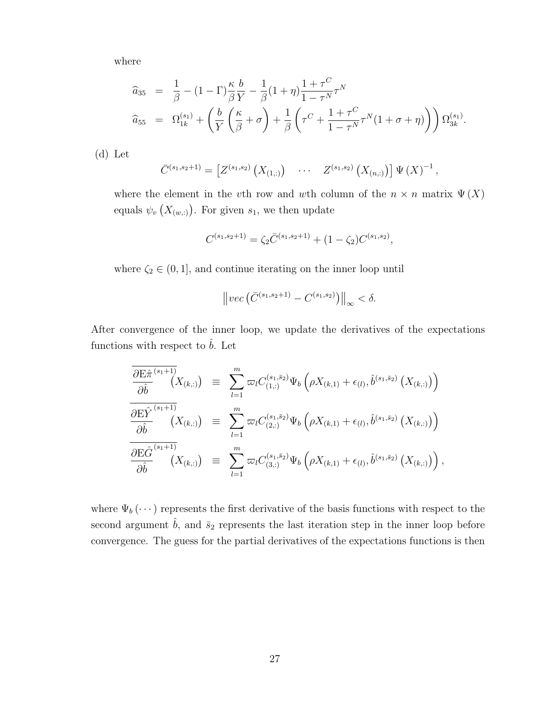where

$$
\begin{array}{rcl}\n\widehat{a}_{35} & = & \frac{1}{\beta} - (1 - \Gamma) \frac{\kappa}{\beta} \frac{b}{Y} - \frac{1}{\beta} (1 + \eta) \frac{1 + \tau^C}{1 - \tau^N} \tau^N \\
\widehat{a}_{55} & = & \Omega_{1k}^{(s_1)} + \left( \frac{b}{Y} \left( \frac{\kappa}{\beta} + \sigma \right) + \frac{1}{\beta} \left( \tau^C + \frac{1 + \tau^C}{1 - \tau^N} \tau^N (1 + \sigma + \eta) \right) \right) \Omega_{3k}^{(s_1)}.\n\end{array}
$$

(d) Let

$$
\bar{C}^{(s_1,s_2+1)} = \left[ Z^{(s_1,s_2)} \left( X_{(1,:)} \right) \quad \cdots \quad Z^{(s_1,s_2)} \left( X_{(n,:)} \right) \right] \Psi \left( X \right)^{-1},
$$

where the element in the *v*th row and *w*th column of the  $n \times n$  matrix  $\Psi(X)$ equals  $\psi_v(X_{(w,:)})$ . For given  $s_1$ , we then update

$$
C^{(s_1, s_2+1)} = \zeta_2 \bar{C}^{(s_1, s_2+1)} + (1 - \zeta_2) C^{(s_1, s_2)},
$$

where  $\zeta_2 \in (0,1]$ , and continue iterating on the inner loop until

$$
\left\|vec\left(\bar{C}^{(s_1,s_2+1)}-C^{(s_1,s_2)}\right)\right\|_{\infty}<\delta.
$$

After convergence of the inner loop, we update the derivatives of the expectations functions with respect to  $\hat{b}$ . Let

$$
\frac{\frac{\partial \mathrm{E} \hat{\pi}}^{(s_1+1)}}{\partial \hat{b}}(X_{(k,:)}) \equiv \sum_{l=1}^m \varpi_l C_{(1,:)}^{(s_1,\bar{s}_2)} \Psi_b \left( \rho X_{(k,1)} + \epsilon_{(l)}, \hat{b}^{(s_1,\bar{s}_2)} (X_{(k,:)}) \right) \n\frac{\partial \mathrm{E} \hat{Y}}{\partial \hat{b}}^{(s_1+1)} (X_{(k,:)}) \equiv \sum_{l=1}^m \varpi_l C_{(2,:)}^{(s_1,\bar{s}_2)} \Psi_b \left( \rho X_{(k,1)} + \epsilon_{(l)}, \hat{b}^{(s_1,\bar{s}_2)} (X_{(k,:)}) \right) \n\frac{\partial \mathrm{E} \hat{G}}{\partial \hat{b}}^{(s_1+1)} (X_{(k,:)}) \equiv \sum_{l=1}^m \varpi_l C_{(3,:)}^{(s_1,\bar{s}_2)} \Psi_b \left( \rho X_{(k,1)} + \epsilon_{(l)}, \hat{b}^{(s_1,\bar{s}_2)} (X_{(k,:)}) \right),
$$

where  $\Psi_b(\cdots)$  represents the first derivative of the basis functions with respect to the second argument  $\hat{b}$ , and  $\bar{s}_2$  represents the last iteration step in the inner loop before convergence. The guess for the partial derivatives of the expectations functions is then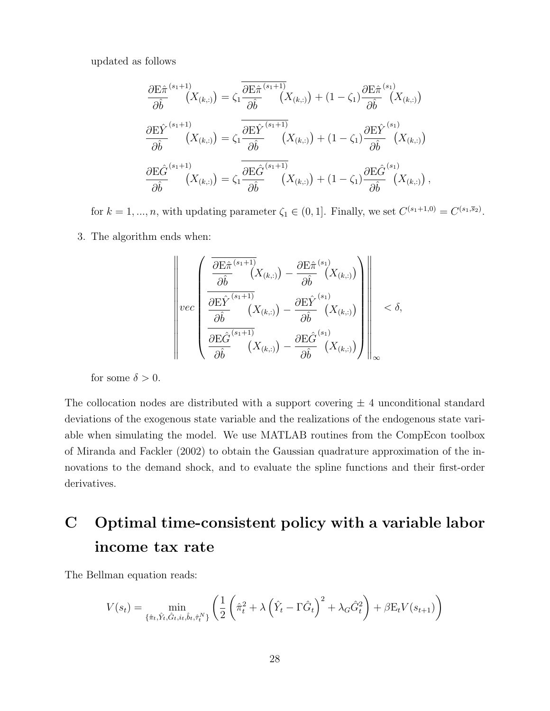updated as follows

$$
\frac{\partial \mathbf{E} \hat{\pi}^{(s_1+1)}}{\partial \hat{b}}(X_{(k,:)}) = \zeta_1 \frac{\partial \mathbf{E} \hat{\pi}^{(s_1+1)}}{\partial \hat{b}}(X_{(k,:)}) + (1 - \zeta_1) \frac{\partial \mathbf{E} \hat{\pi}^{(s_1)}}{\partial \hat{b}}(X_{(k,:)})
$$

$$
\frac{\partial \mathbf{E} \hat{Y}}{\partial \hat{b}}^{(s_1+1)}(X_{(k,:)}) = \zeta_1 \frac{\partial \mathbf{E} \hat{Y}}{\partial \hat{b}}^{(s_1+1)}(X_{(k,:)}) + (1 - \zeta_1) \frac{\partial \mathbf{E} \hat{Y}}{\partial \hat{b}}^{(s_1)}(X_{(k,:)})
$$

$$
\frac{\partial \mathbf{E} \hat{G}}{\partial \hat{b}}^{(s_1+1)}(X_{(k,:)}) = \zeta_1 \frac{\partial \mathbf{E} \hat{G}}{\partial \hat{b}}^{(s_1+1)}(X_{(k,:)}) + (1 - \zeta_1) \frac{\partial \mathbf{E} \hat{G}}{\partial \hat{b}}^{(s_1)}(X_{(k,:)}),
$$

for  $k = 1, ..., n$ , with updating parameter  $\zeta_1 \in (0, 1]$ . Finally, we set  $C^{(s_1+1,0)} = C^{(s_1,\overline{s}_2)}$ .

3. The algorithm ends when:

$$
\left\|\operatorname{vec}\left(\frac{\frac{\partial \mathrm{E} \hat{\pi}^{(s_1+1)}}{\partial \hat{b}}(X_{(k,:)})-\frac{\partial \mathrm{E} \hat{\pi}^{(s_1)}}{\partial \hat{b}}(X_{(k,:)})}{\frac{\partial \mathrm{E} \hat{Y}^{(s_1+1)}}{\partial \hat{b}}(X_{(k,:)})-\frac{\partial \mathrm{E} \hat{Y}^{(s_1)}}{\partial \hat{b}}(X_{(k,:)})}{\frac{\partial \mathrm{E} \hat{G}^{(s_1+1)}}{\partial \hat{b}}(X_{(k,:)})-\frac{\partial \mathrm{E} \hat{G}^{(s_1)}}{\partial \hat{b}}(X_{(k,:)})}\right)\right\|_{\infty} < \delta,
$$

for some  $\delta > 0$ .

The collocation nodes are distributed with a support covering  $\pm$  4 unconditional standard deviations of the exogenous state variable and the realizations of the endogenous state variable when simulating the model. We use MATLAB routines from the CompEcon toolbox of Miranda and Fackler (2002) to obtain the Gaussian quadrature approximation of the innovations to the demand shock, and to evaluate the spline functions and their first-order derivatives.

## **C Optimal time-consistent policy with a variable labor income tax rate**

The Bellman equation reads:

$$
V(s_t) = \min_{\{\hat{\pi}_t, \hat{Y}_t, \hat{G}_t, i_t, \hat{b}_t, \hat{\tau}_t^N\}} \left( \frac{1}{2} \left( \hat{\pi}_t^2 + \lambda \left( \hat{Y}_t - \Gamma \hat{G}_t \right)^2 + \lambda_G \hat{G}_t^2 \right) + \beta E_t V(s_{t+1}) \right)
$$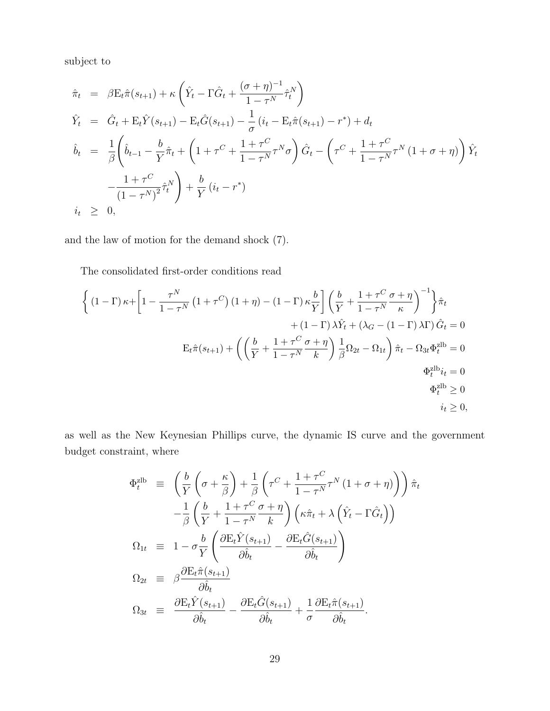subject to

$$
\hat{\pi}_t = \beta \mathbf{E}_t \hat{\pi}(s_{t+1}) + \kappa \left( \hat{Y}_t - \Gamma \hat{G}_t + \frac{(\sigma + \eta)^{-1}}{1 - \tau^N} \hat{\tau}_t^N \right)
$$
\n
$$
\hat{Y}_t = \hat{G}_t + \mathbf{E}_t \hat{Y}(s_{t+1}) - \mathbf{E}_t \hat{G}(s_{t+1}) - \frac{1}{\sigma} (i_t - \mathbf{E}_t \hat{\pi}(s_{t+1}) - r^*) + d_t
$$
\n
$$
\hat{b}_t = \frac{1}{\beta} \left( \hat{b}_{t-1} - \frac{b}{Y} \hat{\pi}_t + \left( 1 + \tau^C + \frac{1 + \tau^C}{1 - \tau^N} \tau^N \sigma \right) \hat{G}_t - \left( \tau^C + \frac{1 + \tau^C}{1 - \tau^N} \tau^N (1 + \sigma + \eta) \right) \hat{Y}_t
$$
\n
$$
-\frac{1 + \tau^C}{(1 - \tau^N)^2} \hat{\tau}_t^N \right) + \frac{b}{Y} (i_t - r^*)
$$
\n
$$
i_t \geq 0,
$$

and the law of motion for the demand shock (7).

The consolidated first-order conditions read

$$
\left\{ (1-\Gamma)\kappa + \left[1 - \frac{\tau^N}{1-\tau^N} \left(1+\tau^C\right) (1+\eta) - (1-\Gamma)\kappa \frac{b}{Y} \right] \left( \frac{b}{Y} + \frac{1+\tau^C}{1-\tau^N} \frac{\sigma + \eta}{\kappa} \right)^{-1} \right\} \hat{\pi}_t
$$
  
 
$$
+ (1-\Gamma)\lambda \hat{Y}_t + (\lambda_G - (1-\Gamma)\lambda \Gamma) \hat{G}_t = 0
$$
  
 
$$
E_t \hat{\pi}(s_{t+1}) + \left( \left( \frac{b}{Y} + \frac{1+\tau^C}{1-\tau^N} \frac{\sigma + \eta}{k} \right) \frac{1}{\beta} \Omega_{2t} - \Omega_{1t} \right) \hat{\pi}_t - \Omega_{3t} \Phi_t^{2lb} = 0
$$
  
 
$$
\Phi_t^{2lb} i_t = 0
$$
  
 
$$
\Phi_t^{2lb} \ge 0
$$
  
 
$$
i_t \ge 0,
$$

as well as the New Keynesian Phillips curve, the dynamic IS curve and the government budget constraint, where

$$
\Phi_t^{\text{zlb}} \equiv \left( \frac{b}{Y} \left( \sigma + \frac{\kappa}{\beta} \right) + \frac{1}{\beta} \left( \tau^C + \frac{1 + \tau^C}{1 - \tau^N} \tau^N (1 + \sigma + \eta) \right) \right) \hat{\pi}_t
$$
\n
$$
- \frac{1}{\beta} \left( \frac{b}{Y} + \frac{1 + \tau^C}{1 - \tau^N} \frac{\sigma + \eta}{k} \right) \left( \kappa \hat{\pi}_t + \lambda \left( \hat{Y}_t - \Gamma \hat{G}_t \right) \right)
$$
\n
$$
\Omega_{1t} \equiv 1 - \sigma \frac{b}{Y} \left( \frac{\partial \mathcal{E}_t \hat{Y}(s_{t+1})}{\partial \hat{b}_t} - \frac{\partial \mathcal{E}_t \hat{G}(s_{t+1})}{\partial \hat{b}_t} \right)
$$
\n
$$
\Omega_{2t} \equiv \beta \frac{\partial \mathcal{E}_t \hat{\pi}(s_{t+1})}{\partial \hat{b}_t}
$$
\n
$$
\Omega_{3t} \equiv \frac{\partial \mathcal{E}_t \hat{Y}(s_{t+1})}{\partial \hat{b}_t} - \frac{\partial \mathcal{E}_t \hat{G}(s_{t+1})}{\partial \hat{b}_t} + \frac{1}{\sigma} \frac{\partial \mathcal{E}_t \hat{\pi}(s_{t+1})}{\partial \hat{b}_t}.
$$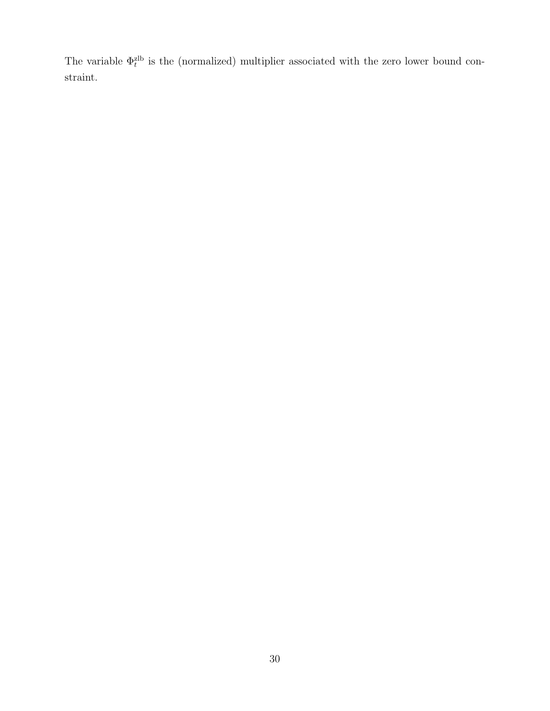The variable  $\Phi_t^{\text{zlb}}$  is the (normalized) multiplier associated with the zero lower bound constraint.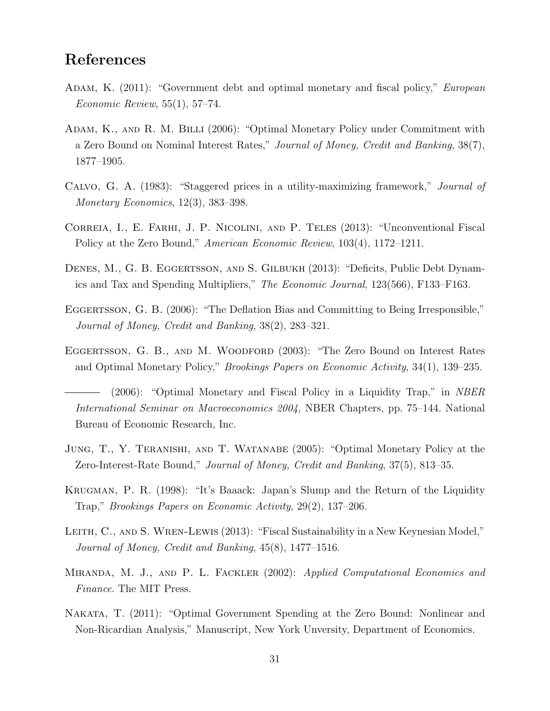## **References**

- Adam, K. (2011): "Government debt and optimal monetary and fiscal policy," *European Economic Review*, 55(1), 57–74.
- Adam, K., and R. M. Billi (2006): "Optimal Monetary Policy under Commitment with a Zero Bound on Nominal Interest Rates," *Journal of Money, Credit and Banking*, 38(7), 1877–1905.
- Calvo, G. A. (1983): "Staggered prices in a utility-maximizing framework," *Journal of Monetary Economics*, 12(3), 383–398.
- CORREIA, I., E. FARHI, J. P. NICOLINI, AND P. TELES (2013): "Unconventional Fiscal Policy at the Zero Bound," *American Economic Review*, 103(4), 1172–1211.
- DENES, M., G. B. EGGERTSSON, AND S. GILBUKH (2013): "Deficits, Public Debt Dynamics and Tax and Spending Multipliers," *The Economic Journal*, 123(566), F133–F163.
- EGGERTSSON, G. B. (2006): "The Deflation Bias and Committing to Being Irresponsible," *Journal of Money, Credit and Banking*, 38(2), 283–321.
- Eggertsson, G. B., and M. Woodford (2003): "The Zero Bound on Interest Rates and Optimal Monetary Policy," *Brookings Papers on Economic Activity*, 34(1), 139–235.

- Jung, T., Y. Teranishi, and T. Watanabe (2005): "Optimal Monetary Policy at the Zero-Interest-Rate Bound," *Journal of Money, Credit and Banking*, 37(5), 813–35.
- Krugman, P. R. (1998): "It's Baaack: Japan's Slump and the Return of the Liquidity Trap," *Brookings Papers on Economic Activity*, 29(2), 137–206.
- LEITH, C., AND S. WREN-LEWIS (2013): "Fiscal Sustainability in a New Keynesian Model," *Journal of Money, Credit and Banking*, 45(8), 1477–1516.
- Miranda, M. J., and P. L. Fackler (2002): *Applied Computational Economics and Finance*. The MIT Press.
- Nakata, T. (2011): "Optimal Government Spending at the Zero Bound: Nonlinear and Non-Ricardian Analysis," Manuscript, New York Unversity, Department of Economics.

<sup>(2006): &</sup>quot;Optimal Monetary and Fiscal Policy in a Liquidity Trap," in *NBER International Seminar on Macroeconomics 2004*, NBER Chapters, pp. 75–144. National Bureau of Economic Research, Inc.